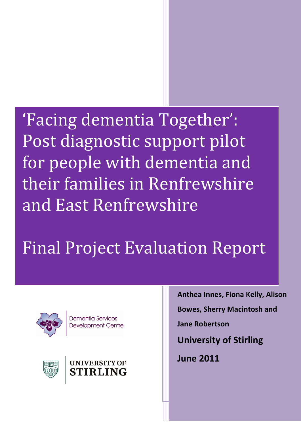'Facing dementia Together': Post diagnostic support pilot for people with dementia and their families in Renfrewshire and East Renfrewshire

Final Project Evaluation Report



Dementia Services **Development Centre** 





**Anthea Innes, Fiona Kelly, Alison** 

**Bowes, Sherry Macintosh and** 

**Jane Robertson**

**University of Stirling**

**June 2011**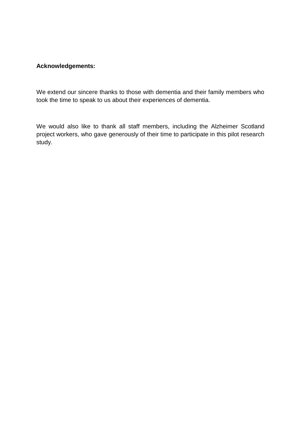#### **Acknowledgements:**

We extend our sincere thanks to those with dementia and their family members who took the time to speak to us about their experiences of dementia.

We would also like to thank all staff members, including the Alzheimer Scotland project workers, who gave generously of their time to participate in this pilot research study.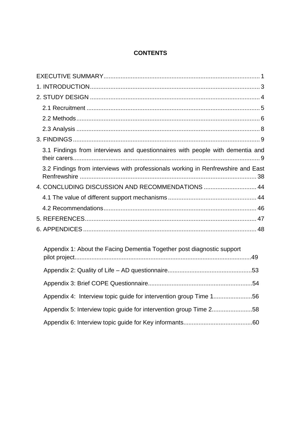## **CONTENTS**

| 3.1 Findings from interviews and questionnaires with people with dementia and    |  |
|----------------------------------------------------------------------------------|--|
| 3.2 Findings from interviews with professionals working in Renfrewshire and East |  |
| 4. CONCLUDING DISCUSSION AND RECOMMENDATIONS  44                                 |  |
|                                                                                  |  |
|                                                                                  |  |
|                                                                                  |  |
|                                                                                  |  |
| Appendix 1: About the Facing Dementia Together post diagnostic support           |  |
|                                                                                  |  |
|                                                                                  |  |
| Appendix 4: Interview topic guide for intervention group Time 156                |  |
| Appendix 5: Interview topic guide for intervention group Time 258                |  |
|                                                                                  |  |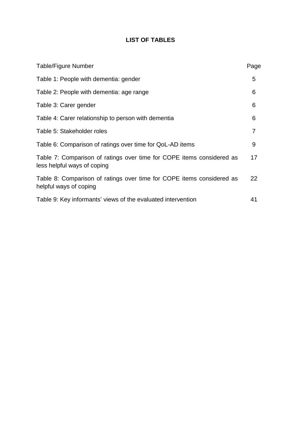# **LIST OF TABLES**

| <b>Table/Figure Number</b>                                                                           | Page           |
|------------------------------------------------------------------------------------------------------|----------------|
| Table 1: People with dementia: gender                                                                | 5              |
| Table 2: People with dementia: age range                                                             | 6              |
| Table 3: Carer gender                                                                                | 6              |
| Table 4: Carer relationship to person with dementia                                                  | 6              |
| Table 5: Stakeholder roles                                                                           | $\overline{7}$ |
| Table 6: Comparison of ratings over time for QoL-AD items                                            | 9              |
| Table 7: Comparison of ratings over time for COPE items considered as<br>less helpful ways of coping | 17             |
| Table 8: Comparison of ratings over time for COPE items considered as<br>helpful ways of coping      | 22             |
| Table 9: Key informants' views of the evaluated intervention                                         | 41             |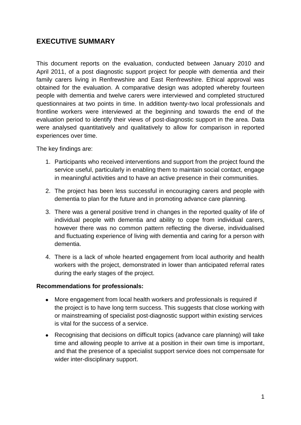# <span id="page-4-0"></span>**EXECUTIVE SUMMARY**

This document reports on the evaluation, conducted between January 2010 and April 2011, of a post diagnostic support project for people with dementia and their family carers living in Renfrewshire and East Renfrewshire. Ethical approval was obtained for the evaluation. A comparative design was adopted whereby fourteen people with dementia and twelve carers were interviewed and completed structured questionnaires at two points in time. In addition twenty-two local professionals and frontline workers were interviewed at the beginning and towards the end of the evaluation period to identify their views of post-diagnostic support in the area. Data were analysed quantitatively and qualitatively to allow for comparison in reported experiences over time.

The key findings are:

- 1. Participants who received interventions and support from the project found the service useful, particularly in enabling them to maintain social contact, engage in meaningful activities and to have an active presence in their communities.
- 2. The project has been less successful in encouraging carers and people with dementia to plan for the future and in promoting advance care planning.
- 3. There was a general positive trend in changes in the reported quality of life of individual people with dementia and ability to cope from individual carers, however there was no common pattern reflecting the diverse, individualised and fluctuating experience of living with dementia and caring for a person with dementia.
- 4. There is a lack of whole hearted engagement from local authority and health workers with the project, demonstrated in lower than anticipated referral rates during the early stages of the project.

#### **Recommendations for professionals:**

- More engagement from local health workers and professionals is required if  $\bullet$ the project is to have long term success. This suggests that close working with or mainstreaming of specialist post-diagnostic support within existing services is vital for the success of a service.
- Recognising that decisions on difficult topics (advance care planning) will take time and allowing people to arrive at a position in their own time is important, and that the presence of a specialist support service does not compensate for wider inter-disciplinary support.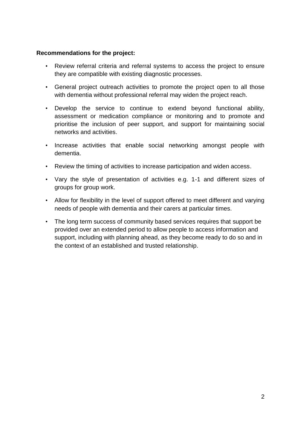#### **Recommendations for the project:**

- Review referral criteria and referral systems to access the project to ensure they are compatible with existing diagnostic processes.
- General project outreach activities to promote the project open to all those with dementia without professional referral may widen the project reach.
- Develop the service to continue to extend beyond functional ability, assessment or medication compliance or monitoring and to promote and prioritise the inclusion of peer support, and support for maintaining social networks and activities.
- Increase activities that enable social networking amongst people with dementia.
- Review the timing of activities to increase participation and widen access.
- Vary the style of presentation of activities e.g. 1-1 and different sizes of groups for group work.
- Allow for flexibility in the level of support offered to meet different and varying needs of people with dementia and their carers at particular times.
- The long term success of community based services requires that support be provided over an extended period to allow people to access information and support, including with planning ahead, as they become ready to do so and in the context of an established and trusted relationship.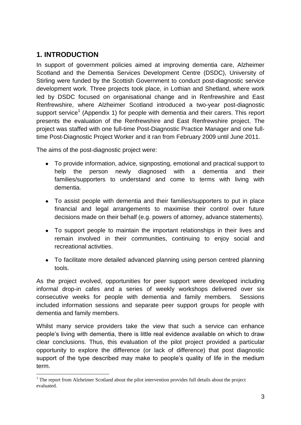# <span id="page-6-0"></span>**1. INTRODUCTION**

In support of government policies aimed at improving dementia care, Alzheimer Scotland and the Dementia Services Development Centre (DSDC), University of Stirling were funded by the Scottish Government to conduct post-diagnostic service development work. Three projects took place, in Lothian and Shetland, where work led by DSDC focused on organisational change and in Renfrewshire and East Renfrewshire, where Alzheimer Scotland introduced a two-year post-diagnostic support service<sup>1</sup> (Appendix 1) for people with dementia and their carers. This report presents the evaluation of the Renfrewshire and East Renfrewshire project. The project was staffed with one full-time Post-Diagnostic Practice Manager and one fulltime Post-Diagnostic Project Worker and it ran from February 2009 until June 2011.

The aims of the post-diagnostic project were:

- To provide information, advice, signposting, emotional and practical support to help the person newly diagnosed with a dementia and their families/supporters to understand and come to terms with living with dementia.
- To assist people with dementia and their families/supporters to put in place financial and legal arrangements to maximise their control over future decisions made on their behalf (e.g. powers of attorney, advance statements).
- To support people to maintain the important relationships in their lives and remain involved in their communities, continuing to enjoy social and recreational activities.
- To facilitate more detailed advanced planning using person centred planning tools.

As the project evolved, opportunities for peer support were developed including informal drop-in cafes and a series of weekly workshops delivered over six consecutive weeks for people with dementia and family members. Sessions included information sessions and separate peer support groups for people with dementia and family members.

Whilst many service providers take the view that such a service can enhance people's living with dementia, there is little real evidence available on which to draw clear conclusions. Thus, this evaluation of the pilot project provided a particular opportunity to explore the difference (or lack of difference) that post diagnostic support of the type described may make to people's quality of life in the medium term.

<sup>1</sup>  $1$  The report from Alzheimer Scotland about the pilot intervention provides full details about the project evaluated.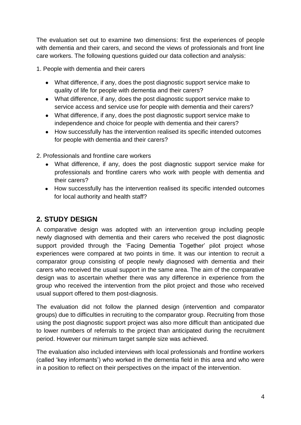The evaluation set out to examine two dimensions: first the experiences of people with dementia and their carers, and second the views of professionals and front line care workers. The following questions guided our data collection and analysis:

1. People with dementia and their carers

- What difference, if any, does the post diagnostic support service make to quality of life for people with dementia and their carers?
- What difference, if any, does the post diagnostic support service make to service access and service use for people with dementia and their carers?
- What difference, if any, does the post diagnostic support service make to independence and choice for people with dementia and their carers?
- How successfully has the intervention realised its specific intended outcomes for people with dementia and their carers?

2. Professionals and frontline care workers

- What difference, if any, does the post diagnostic support service make for professionals and frontline carers who work with people with dementia and their carers?
- How successfully has the intervention realised its specific intended outcomes for local authority and health staff?

# <span id="page-7-0"></span>**2. STUDY DESIGN**

A comparative design was adopted with an intervention group including people newly diagnosed with dementia and their carers who received the post diagnostic support provided through the 'Facing Dementia Together' pilot project whose experiences were compared at two points in time. It was our intention to recruit a comparator group consisting of people newly diagnosed with dementia and their carers who received the usual support in the same area. The aim of the comparative design was to ascertain whether there was any difference in experience from the group who received the intervention from the pilot project and those who received usual support offered to them post-diagnosis.

The evaluation did not follow the planned design (intervention and comparator groups) due to difficulties in recruiting to the comparator group. Recruiting from those using the post diagnostic support project was also more difficult than anticipated due to lower numbers of referrals to the project than anticipated during the recruitment period. However our minimum target sample size was achieved.

The evaluation also included interviews with local professionals and frontline workers (called ‗key informants') who worked in the dementia field in this area and who were in a position to reflect on their perspectives on the impact of the intervention.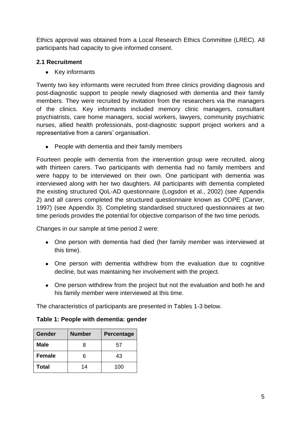Ethics approval was obtained from a Local Research Ethics Committee (LREC). All participants had capacity to give informed consent.

## <span id="page-8-0"></span>**2.1 Recruitment**

Key informants  $\bullet$ 

Twenty two key informants were recruited from three clinics providing diagnosis and post-diagnostic support to people newly diagnosed with dementia and their family members. They were recruited by invitation from the researchers via the managers of the clinics. Key informants included memory clinic managers, consultant psychiatrists, care home managers, social workers, lawyers, community psychiatric nurses, allied health professionals, post-diagnostic support project workers and a representative from a carers' organisation.

• People with dementia and their family members

Fourteen people with dementia from the intervention group were recruited, along with thirteen carers. Two participants with dementia had no family members and were happy to be interviewed on their own. One participant with dementia was interviewed along with her two daughters. All participants with dementia completed the existing structured QoL-AD questionnaire (Logsdon et al., 2002) (see Appendix 2) and all carers completed the structured questionnaire known as COPE (Carver, 1997) (see Appendix 3). Completing standardised structured questionnaires at two time periods provides the potential for objective comparison of the two time periods.

Changes in our sample at time period 2 were:

- One person with dementia had died (her family member was interviewed at this time).
- One person with dementia withdrew from the evaluation due to cognitive decline, but was maintaining her involvement with the project.
- One person withdrew from the project but not the evaluation and both he and his family member were interviewed at this time.

The characteristics of participants are presented in Tables 1-3 below.

| <b>Gender</b> | <b>Number</b> | <b>Percentage</b> |
|---------------|---------------|-------------------|
| Male          | 8             | 57                |
| <b>Female</b> | ิค            | 43                |
| Total         | 14            | 100               |

## **Table 1: People with dementia: gender**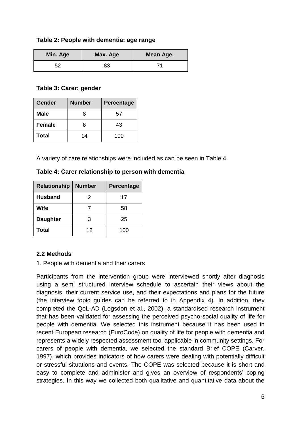#### **Table 2: People with dementia: age range**

| Min. Age | Max. Age | Mean Age. |
|----------|----------|-----------|
| 52       | 83       |           |

#### **Table 3: Carer: gender**

| <b>Gender</b> | <b>Number</b> | Percentage |
|---------------|---------------|------------|
| <b>Male</b>   | 8             | 57         |
| <b>Female</b> | հ             | 43         |
| Total         | 14            | 100        |

A variety of care relationships were included as can be seen in Table 4.

| <b>Relationship</b> | <b>Number</b> | <b>Percentage</b> |
|---------------------|---------------|-------------------|
| <b>Husband</b>      | 2             | 17                |
| <b>Wife</b>         |               | 58                |
| <b>Daughter</b>     | З             | 25                |
| <b>Total</b>        | 12            | 100               |

## <span id="page-9-0"></span>**2.2 Methods**

1. People with dementia and their carers

Participants from the intervention group were interviewed shortly after diagnosis using a semi structured interview schedule to ascertain their views about the diagnosis, their current service use, and their expectations and plans for the future (the interview topic guides can be referred to in Appendix 4). In addition, they completed the QoL-AD (Logsdon et al., 2002), a standardised research instrument that has been validated for assessing the perceived psycho-social quality of life for people with dementia. We selected this instrument because it has been used in recent European research (EuroCode) on quality of life for people with dementia and represents a widely respected assessment tool applicable in community settings. For carers of people with dementia, we selected the standard Brief COPE (Carver, 1997), which provides indicators of how carers were dealing with potentially difficult or stressful situations and events. The COPE was selected because it is short and easy to complete and administer and gives an overview of respondents' coping strategies. In this way we collected both qualitative and quantitative data about the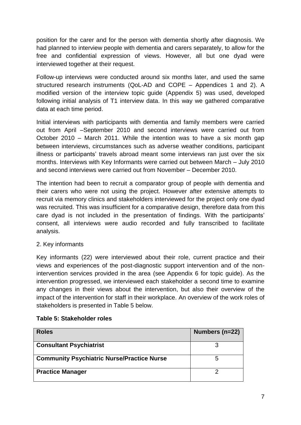position for the carer and for the person with dementia shortly after diagnosis. We had planned to interview people with dementia and carers separately, to allow for the free and confidential expression of views. However, all but one dyad were interviewed together at their request.

Follow-up interviews were conducted around six months later, and used the same structured research instruments (QoL-AD and COPE – Appendices 1 and 2). A modified version of the interview topic guide (Appendix 5) was used, developed following initial analysis of T1 interview data. In this way we gathered comparative data at each time period.

Initial interviews with participants with dementia and family members were carried out from April –September 2010 and second interviews were carried out from October 2010 – March 2011. While the intention was to have a six month gap between interviews, circumstances such as adverse weather conditions, participant illness or participants' travels abroad meant some interviews ran just over the six months. Interviews with Key Informants were carried out between March – July 2010 and second interviews were carried out from November – December 2010.

The intention had been to recruit a comparator group of people with dementia and their carers who were not using the project. However after extensive attempts to recruit via memory clinics and stakeholders interviewed for the project only one dyad was recruited. This was insufficient for a comparative design, therefore data from this care dyad is not included in the presentation of findings. With the participants' consent, all interviews were audio recorded and fully transcribed to facilitate analysis.

## 2. Key informants

Key informants (22) were interviewed about their role, current practice and their views and experiences of the post-diagnostic support intervention and of the nonintervention services provided in the area (see Appendix 6 for topic guide). As the intervention progressed, we interviewed each stakeholder a second time to examine any changes in their views about the intervention, but also their overview of the impact of the intervention for staff in their workplace. An overview of the work roles of stakeholders is presented in Table 5 below.

| <b>Roles</b>                                      | Numbers (n=22) |
|---------------------------------------------------|----------------|
| <b>Consultant Psychiatrist</b>                    |                |
| <b>Community Psychiatric Nurse/Practice Nurse</b> | 5              |
| <b>Practice Manager</b>                           |                |

## **Table 5: Stakeholder roles**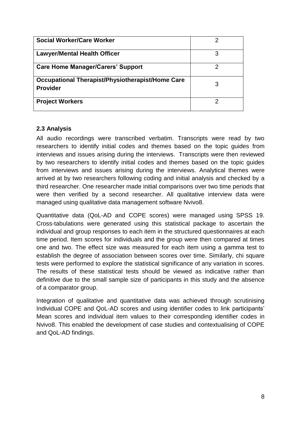| Social Worker/Care Worker                                           | 2 |
|---------------------------------------------------------------------|---|
| <b>Lawyer/Mental Health Officer</b>                                 | 3 |
| <b>Care Home Manager/Carers' Support</b>                            | 2 |
| Occupational Therapist/Physiotherapist/Home Care<br><b>Provider</b> | 3 |
| <b>Project Workers</b>                                              |   |

## <span id="page-11-0"></span>**2.3 Analysis**

All audio recordings were transcribed verbatim. Transcripts were read by two researchers to identify initial codes and themes based on the topic guides from interviews and issues arising during the interviews. Transcripts were then reviewed by two researchers to identify initial codes and themes based on the topic guides from interviews and issues arising during the interviews. Analytical themes were arrived at by two researchers following coding and initial analysis and checked by a third researcher. One researcher made initial comparisons over two time periods that were then verified by a second researcher. All qualitative interview data were managed using qualitative data management software Nvivo8.

Quantitative data (QoL-AD and COPE scores) were managed using SPSS 19. Cross-tabulations were generated using this statistical package to ascertain the individual and group responses to each item in the structured questionnaires at each time period. Item scores for individuals and the group were then compared at times one and two. The effect size was measured for each item using a gamma test to establish the degree of association between scores over time. Similarly, chi square tests were performed to explore the statistical significance of any variation in scores. The results of these statistical tests should be viewed as indicative rather than definitive due to the small sample size of participants in this study and the absence of a comparator group.

Integration of qualitative and quantitative data was achieved through scrutinising Individual COPE and QoL-AD scores and using identifier codes to link participants' Mean scores and individual item values to their corresponding identifier codes in Nvivo8. This enabled the development of case studies and contextualising of COPE and QoL-AD findings.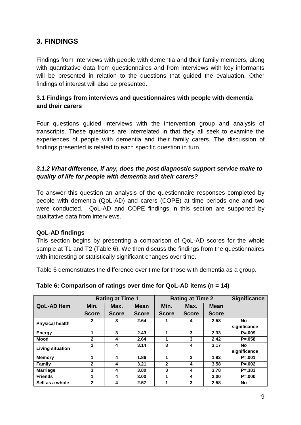# <span id="page-12-0"></span>**3. FINDINGS**

Findings from interviews with people with dementia and their family members, along with quantitative data from questionnaires and from interviews with key informants will be presented in relation to the questions that guided the evaluation. Other findings of interest will also be presented.

## <span id="page-12-1"></span>**3.1 Findings from interviews and questionnaires with people with dementia and their carers**

Four questions guided interviews with the intervention group and analysis of transcripts. These questions are interrelated in that they all seek to examine the experiences of people with dementia and their family carers. The discussion of findings presented is related to each specific question in turn.

## *3.1.2 What difference, if any, does the post diagnostic support service make to quality of life for people with dementia and their carers?*

To answer this question an analysis of the questionnaire responses completed by people with dementia (QoL-AD) and carers (COPE) at time periods one and two were conducted. QoL-AD and COPE findings in this section are supported by qualitative data from interviews.

## **QoL-AD findings**

This section begins by presenting a comparison of QoL-AD scores for the whole sample at T1 and T2 (Table 6). We then discuss the findings from the questionnaires with interesting or statistically significant changes over time.

Table 6 demonstrates the difference over time for those with dementia as a group.

|                        |              | <b>Rating at Time 1</b> | <b>Rating at Time 2</b> |              |              |              | <b>Significance</b> |
|------------------------|--------------|-------------------------|-------------------------|--------------|--------------|--------------|---------------------|
| <b>QoL-AD Item</b>     | Min.         | Max.                    | <b>Mean</b>             | Min.         | Max.         | <b>Mean</b>  |                     |
|                        | <b>Score</b> | <b>Score</b>            | <b>Score</b>            | <b>Score</b> | <b>Score</b> | <b>Score</b> |                     |
| <b>Physical health</b> | $\mathbf{2}$ | 3                       | 2.64                    |              | 4            | 2.58         | <b>No</b>           |
|                        |              |                         |                         |              |              |              | significance        |
| <b>Energy</b>          | 1            | 3                       | 2.43                    | 1            | 3            | 2.33         | $P = 009$           |
| <b>Mood</b>            | 2            | 4                       | 2.64                    | 1            | 3            | 2.42         | $P = 0.058$         |
| Living situation       | $\mathbf{2}$ | 4                       | 3.14                    | 3            | 4            | 3.17         | No                  |
|                        |              |                         |                         |              |              |              | significance        |
| <b>Memory</b>          | 1            | 4                       | 1.86                    | 1            | 3            | 1.92         | $P = 001$           |
| Family                 | $\mathbf{2}$ | 4                       | 3.21                    | $\mathbf{2}$ | 4            | 3.58         | $P = 0.002$         |
| <b>Marriage</b>        | 3            | 4                       | 3.80                    | 3            | 4            | 3.78         | $P = 383$           |
| <b>Friends</b>         | 1            | 4                       | 3.00                    | 1            | 4            | 3.00         | $P = 000$           |
| Self as a whole        | $\mathbf{2}$ | 4                       | 2.57                    | 1            | 3            | 2.58         | No                  |

**Table 6: Comparison of ratings over time for QoL-AD items (n = 14)**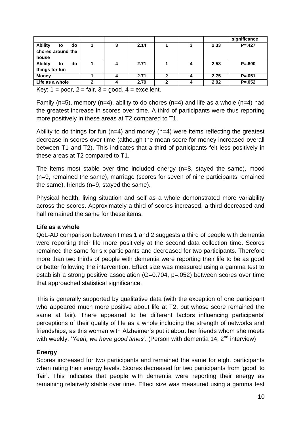|                                                                                         |   |   |      |              |   |      | significance |  |
|-----------------------------------------------------------------------------------------|---|---|------|--------------|---|------|--------------|--|
| <b>Ability</b><br>do<br>to                                                              |   | 3 | 2.14 |              | 3 | 2.33 | $P = .427$   |  |
| chores around the                                                                       |   |   |      |              |   |      |              |  |
| house                                                                                   |   |   |      |              |   |      |              |  |
| <b>Ability</b><br>do<br>to                                                              |   | 4 | 2.71 |              | 4 | 2.58 | $P = 600$    |  |
| things for fun                                                                          |   |   |      |              |   |      |              |  |
| <b>Money</b>                                                                            |   | 4 | 2.71 | $\mathbf{2}$ |   | 2.75 | $P = 0.051$  |  |
| Life as a whole                                                                         | 2 | 4 | 2.79 | າ            | 4 | 2.92 | $P = 0.052$  |  |
| $\mathcal{L}$ and $\mathcal{L}$ and $\mathcal{L}$ and $\mathcal{L}$<br>المتحال والمتحدث |   |   |      |              |   |      |              |  |

Key:  $1 =$  poor,  $2 =$  fair,  $3 =$  good,  $4 =$  excellent.

Family (n=5), memory (n=4), ability to do chores (n=4) and life as a whole (n=4) had the greatest increase in scores over time. A third of participants were thus reporting more positively in these areas at T2 compared to T1.

Ability to do things for fun ( $n=4$ ) and money ( $n=4$ ) were items reflecting the greatest decrease in scores over time (although the mean score for money increased overall between T1 and T2). This indicates that a third of participants felt less positively in these areas at T2 compared to T1.

The items most stable over time included energy (n=8, stayed the same), mood (n=9, remained the same), marriage (scores for seven of nine participants remained the same), friends (n=9, stayed the same).

Physical health, living situation and self as a whole demonstrated more variability across the scores. Approximately a third of scores increased, a third decreased and half remained the same for these items.

## **Life as a whole**

QoL-AD comparison between times 1 and 2 suggests a third of people with dementia were reporting their life more positively at the second data collection time. Scores remained the same for six participants and decreased for two participants. Therefore more than two thirds of people with dementia were reporting their life to be as good or better following the intervention. Effect size was measured using a gamma test to establish a strong positive association (G=0.704, p=.052) between scores over time that approached statistical significance.

This is generally supported by qualitative data (with the exception of one participant who appeared much more positive about life at T2, but whose score remained the same at fair). There appeared to be different factors influencing participants' perceptions of their quality of life as a whole including the strength of networks and friendships, as this woman with Alzheimer's put it about her friends whom she meets with weekly: 'Yeah, we have good times'. (Person with dementia 14, 2<sup>nd</sup> interview)

## **Energy**

Scores increased for two participants and remained the same for eight participants when rating their energy levels. Scores decreased for two participants from 'good' to ‗fair'. This indicates that people with dementia were reporting their energy as remaining relatively stable over time. Effect size was measured using a gamma test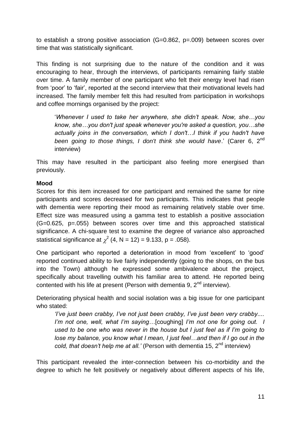to establish a strong positive association (G=0.862, p=.009) between scores over time that was statistically significant.

This finding is not surprising due to the nature of the condition and it was encouraging to hear, through the interviews, of participants remaining fairly stable over time. A family member of one participant who felt their energy level had risen from 'poor' to 'fair', reported at the second interview that their motivational levels had increased. The family member felt this had resulted from participation in workshops and coffee mornings organised by the project:

‗*Whenever I used to take her anywhere, she didn't speak. Now, she…you know, she…you don't just speak whenever you're asked a question, you…she actually joins in the conversation, which I don't…I think if you hadn't have been going to those things, I don't think she would have.*' (Carer 6, 2<sup>nd</sup> interview)

This may have resulted in the participant also feeling more energised than previously.

## **Mood**

Scores for this item increased for one participant and remained the same for nine participants and scores decreased for two participants. This indicates that people with dementia were reporting their mood as remaining relatively stable over time. Effect size was measured using a gamma test to establish a positive association (G=0.625, p=.055) between scores over time and this approached statistical significance. A chi-square test to examine the degree of variance also approached statistical significance at  $\chi^2$  (4, N = 12) = 9.133, p = .058).

One participant who reported a deterioration in mood from 'excellent' to 'good' reported continued ability to live fairly independently (going to the shops, on the bus into the Town) although he expressed some ambivalence about the project, specifically about travelling outwith his familiar area to attend. He reported being contented with his life at present (Person with dementia 9.  $2<sup>nd</sup>$  interview).

Deteriorating physical health and social isolation was a big issue for one participant who stated:

*'I've just been crabby, I've not just been crabby, I've just been very crabby.... I'm not one, well, what I'm saying*…[coughing] *I'm not one for going out. I used to be one who was never in the house but I just feel as if I'm going to lose my balance, you know what I mean, I just feel...and then if I go out in the cold, that doesn't help me at all.'* (Person with dementia 15, 2<sup>nd</sup> interview)

This participant revealed the inter-connection between his co-morbidity and the degree to which he felt positively or negatively about different aspects of his life,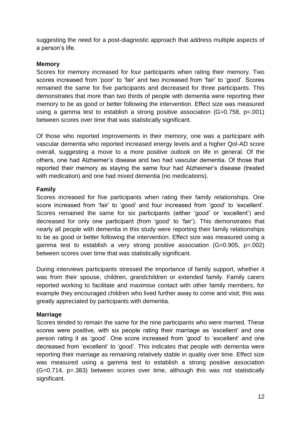suggesting the need for a post-diagnostic approach that address multiple aspects of a person's life.

#### **Memory**

Scores for memory increased for four participants when rating their memory. Two scores increased from 'poor' to 'fair' and two increased from 'fair' to 'good'. Scores remained the same for five participants and decreased for three participants. This demonstrates that more than two thirds of people with dementia were reporting their memory to be as good or better following the intervention. Effect size was measured using a gamma test to establish a strong positive association (G=0.758, p=.001) between scores over time that was statistically significant.

Of those who reported improvements in their memory, one was a participant with vascular dementia who reported increased energy levels and a higher Qol-AD score overall, suggesting a move to a more positive outlook on life in general. Of the others, one had Alzheimer's disease and two had vascular dementia. Of those that reported their memory as staying the same four had Alzheimer's disease (treated with medication) and one had mixed dementia (no medications).

## **Family**

Scores increased for five participants when rating their family relationships. One score increased from 'fair' to 'good' and four increased from 'good' to 'excellent'. Scores remained the same for six participants (either 'good' or 'excellent') and decreased for only one participant (from 'good' to 'fair'). This demonstrates that nearly all people with dementia in this study were reporting their family relationships to be as good or better following the intervention. Effect size was measured using a gamma test to establish a very strong positive association (G=0.905, p=.002) between scores over time that was statistically significant.

During interviews participants stressed the importance of family support, whether it was from their spouse, children, grandchildren or extended family. Family carers reported working to facilitate and maximise contact with other family members, for example they encouraged children who lived further away to come and visit; this was greatly appreciated by participants with dementia.

## **Marriage**

Scores tended to remain the same for the nine participants who were married. These scores were positive, with six people rating their marriage as 'excellent' and one person rating it as 'good'. One score increased from 'good' to 'excellent' and one decreased from 'excellent' to 'good'. This indicates that people with dementia were reporting their marriage as remaining relatively stable in quality over time. Effect size was measured using a gamma test to establish a strong positive association (G=0.714, p=.383) between scores over time, although this was not statistically significant.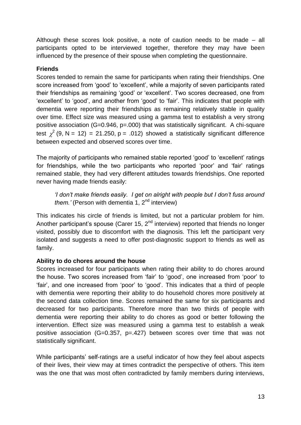Although these scores look positive, a note of caution needs to be made – all participants opted to be interviewed together, therefore they may have been influenced by the presence of their spouse when completing the questionnaire.

## **Friends**

Scores tended to remain the same for participants when rating their friendships. One score increased from 'good' to 'excellent', while a majority of seven participants rated their friendships as remaining 'good' or 'excellent'. Two scores decreased, one from ‗excellent' to ‗good', and another from ‗good' to ‗fair'. This indicates that people with dementia were reporting their friendships as remaining relatively stable in quality over time. Effect size was measured using a gamma test to establish a very strong positive association (G=0.946, p=.000) that was statistically significant. A chi-square test  $\chi^2$  (9, N = 12) = 21.250, p = .012) showed a statistically significant difference between expected and observed scores over time.

The majority of participants who remained stable reported 'good' to 'excellent' ratings for friendships, while the two participants who reported 'poor' and 'fair' ratings remained stable, they had very different attitudes towards friendships. One reported never having made friends easily:

*'I don't make friends easily. I get on alright with people but I don't fuss around them.'* (Person with dementia 1, 2<sup>nd</sup> interview)

This indicates his circle of friends is limited, but not a particular problem for him. Another participant's spouse (Carer 15,  $2<sup>nd</sup>$  interview) reported that friends no longer visited, possibly due to discomfort with the diagnosis. This left the participant very isolated and suggests a need to offer post-diagnostic support to friends as well as family.

## **Ability to do chores around the house**

Scores increased for four participants when rating their ability to do chores around the house. Two scores increased from 'fair' to 'good', one increased from 'poor' to 'fair', and one increased from 'poor' to 'good'. This indicates that a third of people with dementia were reporting their ability to do household chores more positively at the second data collection time. Scores remained the same for six participants and decreased for two participants. Therefore more than two thirds of people with dementia were reporting their ability to do chores as good or better following the intervention. Effect size was measured using a gamma test to establish a weak positive association (G=0.357, p=.427) between scores over time that was not statistically significant.

While participants' self-ratings are a useful indicator of how they feel about aspects of their lives, their view may at times contradict the perspective of others. This item was the one that was most often contradicted by family members during interviews,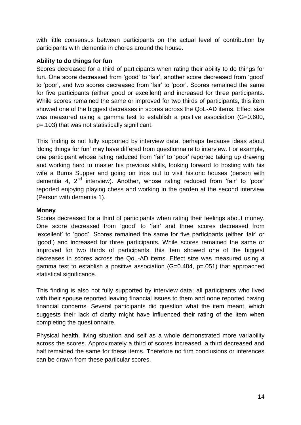with little consensus between participants on the actual level of contribution by participants with dementia in chores around the house.

## **Ability to do things for fun**

Scores decreased for a third of participants when rating their ability to do things for fun. One score decreased from 'good' to 'fair', another score decreased from 'good' to 'poor', and two scores decreased from 'fair' to 'poor'. Scores remained the same for five participants (either good or excellent) and increased for three participants. While scores remained the same or improved for two thirds of participants, this item showed one of the biggest decreases in scores across the QoL-AD items. Effect size was measured using a gamma test to establish a positive association (G=0.600, p=.103) that was not statistically significant.

This finding is not fully supported by interview data, perhaps because ideas about ‗doing things for fun' may have differed from questionnaire to interview. For example, one participant whose rating reduced from 'fair' to 'poor' reported taking up drawing and working hard to master his previous skills, looking forward to hosting with his wife a Burns Supper and going on trips out to visit historic houses (person with dementia 4,  $2<sup>nd</sup>$  interview). Another, whose rating reduced from 'fair' to 'poor' reported enjoying playing chess and working in the garden at the second interview (Person with dementia 1).

## **Money**

Scores decreased for a third of participants when rating their feelings about money. One score decreased from 'good' to 'fair' and three scores decreased from 'excellent' to 'good'. Scores remained the same for five participants (either 'fair' or ‗good') and increased for three participants. While scores remained the same or improved for two thirds of participants, this item showed one of the biggest decreases in scores across the QoL-AD items. Effect size was measured using a gamma test to establish a positive association (G=0.484, p=.051) that approached statistical significance.

This finding is also not fully supported by interview data; all participants who lived with their spouse reported leaving financial issues to them and none reported having financial concerns. Several participants did question what the item meant, which suggests their lack of clarity might have influenced their rating of the item when completing the questionnaire.

Physical health, living situation and self as a whole demonstrated more variability across the scores. Approximately a third of scores increased, a third decreased and half remained the same for these items. Therefore no firm conclusions or inferences can be drawn from these particular scores.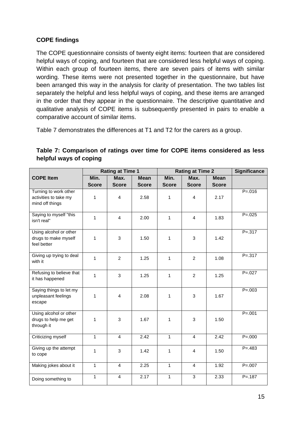## **COPE findings**

The COPE questionnaire consists of twenty eight items: fourteen that are considered helpful ways of coping, and fourteen that are considered less helpful ways of coping. Within each group of fourteen items, there are seven pairs of items with similar wording. These items were not presented together in the questionnaire, but have been arranged this way in the analysis for clarity of presentation. The two tables list separately the helpful and less helpful ways of coping, and these items are arranged in the order that they appear in the questionnaire. The descriptive quantitative and qualitative analysis of COPE items is subsequently presented in pairs to enable a comparative account of similar items.

Table 7 demonstrates the differences at T1 and T2 for the carers as a group.

| Table 7: Comparison of ratings over time for COPE items considered as less |  |  |  |  |
|----------------------------------------------------------------------------|--|--|--|--|
| helpful ways of coping                                                     |  |  |  |  |

|                                                                   | <b>Rating at Time 1</b> |                      | <b>Rating at Time 2</b>     |                      |                      | <b>Significance</b>         |             |
|-------------------------------------------------------------------|-------------------------|----------------------|-----------------------------|----------------------|----------------------|-----------------------------|-------------|
| <b>COPE Item</b>                                                  | Min.<br><b>Score</b>    | Max.<br><b>Score</b> | <b>Mean</b><br><b>Score</b> | Min.<br><b>Score</b> | Max.<br><b>Score</b> | <b>Mean</b><br><b>Score</b> |             |
| Turning to work other<br>activities to take my<br>mind off things | $\mathbf{1}$            | 4                    | 2.58                        | 1                    | $\overline{4}$       | 2.17                        | $P = 016$   |
| Saying to myself "this<br>isn't real"                             | $\mathbf{1}$            | 4                    | 2.00                        | $\mathbf{1}$         | $\overline{4}$       | 1.83                        | $P = 0.025$ |
| Using alcohol or other<br>drugs to make myself<br>feel better     | 1                       | 3                    | 1.50                        | 1                    | 3                    | 1.42                        | $P = 317$   |
| Giving up trying to deal<br>with it                               | $\mathbf{1}$            | $\mathcal{P}$        | 1.25                        | $\mathbf{1}$         | $\mathcal{P}$        | 1.08                        | $P = 317$   |
| Refusing to believe that<br>it has happened                       | $\mathbf{1}$            | 3                    | 1.25                        | $\mathbf{1}$         | $\mathcal{P}$        | 1.25                        | $P = 027$   |
| Saying things to let my<br>unpleasant feelings<br>escape          | 1                       | 4                    | 2.08                        | 1                    | 3                    | 1.67                        | $P = 0.003$ |
| Using alcohol or other<br>drugs to help me get<br>through it      | 1                       | 3                    | 1.67                        | 1                    | 3                    | 1.50                        | $P = .001$  |
| Criticizing myself                                                | $\overline{1}$          | $\overline{4}$       | 2.42                        | $\mathbf{1}$         | $\overline{4}$       | 2.42                        | $P = 000$   |
| Giving up the attempt<br>to cope                                  | $\mathbf{1}$            | 3                    | 1.42                        | $\mathbf{1}$         | $\overline{4}$       | 1.50                        | $P = 483$   |
| Making jokes about it                                             | $\mathbf{1}$            | 4                    | 2.25                        | $\mathbf{1}$         | 4                    | 1.92                        | $P = 0.007$ |
| Doing something to                                                | $\mathbf{1}$            | 4                    | 2.17                        | $\mathbf{1}$         | 3                    | 2.33                        | $P = .187$  |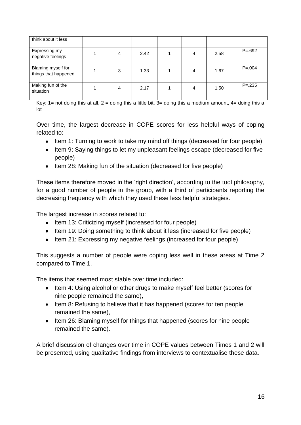| think about it less                        |   |      |   |      |             |
|--------------------------------------------|---|------|---|------|-------------|
| Expressing my<br>negative feelings         | 4 | 2.42 | 4 | 2.58 | $P = 692$   |
| Blaming myself for<br>things that happened | 3 | 1.33 | 4 | 1.67 | $P = 0.004$ |
| Making fun of the<br>situation             | 4 | 2.17 | 4 | 1.50 | $P = 235$   |

 $\frac{1}{1}$  Key: 1= not doing this at all, 2 = doing this a little bit, 3= doing this a medium amount, 4= doing this a lot

Over time, the largest decrease in COPE scores for less helpful ways of coping related to:

- Item 1: Turning to work to take my mind off things (decreased for four people)
- Item 9: Saying things to let my unpleasant feelings escape (decreased for five people)
- Item 28: Making fun of the situation (decreased for five people)

These items therefore moved in the 'right direction', according to the tool philosophy, for a good number of people in the group, with a third of participants reporting the decreasing frequency with which they used these less helpful strategies.

The largest increase in scores related to:

- Item 13: Criticizing myself (increased for four people)
- Item 19: Doing something to think about it less (increased for five people)
- Item 21: Expressing my negative feelings (increased for four people)

This suggests a number of people were coping less well in these areas at Time 2 compared to Time 1.

The items that seemed most stable over time included:

- Item 4: Using alcohol or other drugs to make myself feel better (scores for nine people remained the same),
- Item 8: Refusing to believe that it has happened (scores for ten people remained the same),
- Item 26: Blaming myself for things that happened (scores for nine people remained the same).

A brief discussion of changes over time in COPE values between Times 1 and 2 will be presented, using qualitative findings from interviews to contextualise these data.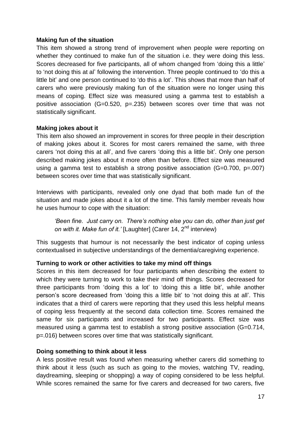#### **Making fun of the situation**

This item showed a strong trend of improvement when people were reporting on whether they continued to make fun of the situation i.e. they were doing this less. Scores decreased for five participants, all of whom changed from 'doing this a little' to 'not doing this at al' following the intervention. Three people continued to 'do this a little bit' and one person continued to 'do this a lot'. This shows that more than half of carers who were previously making fun of the situation were no longer using this means of coping. Effect size was measured using a gamma test to establish a positive association (G=0.520, p=.235) between scores over time that was not statistically significant.

#### **Making jokes about it**

This item also showed an improvement in scores for three people in their description of making jokes about it. Scores for most carers remained the same, with three carers ‗not doing this at all', and five carers ‗doing this a little bit'. Only one person described making jokes about it more often than before. Effect size was measured using a gamma test to establish a strong positive association (G=0.700, p=.007) between scores over time that was statistically significant.

Interviews with participants, revealed only one dyad that both made fun of the situation and made jokes about it a lot of the time. This family member reveals how he uses humour to cope with the situation:

*'Been fine. Just carry on. There's nothing else you can do, other than just get on with it. Make fun of it.'* [Laughter] (Carer 14, 2nd interview)

This suggests that humour is not necessarily the best indicator of coping unless contextualised in subjective understandings of the dementia/caregiving experience.

## **Turning to work or other activities to take my mind off things**

Scores in this item decreased for four participants when describing the extent to which they were turning to work to take their mind off things. Scores decreased for three participants from ‗doing this a lot' to ‗doing this a little bit', while another person's score decreased from 'doing this a little bit' to 'not doing this at all'. This indicates that a third of carers were reporting that they used this less helpful means of coping less frequently at the second data collection time. Scores remained the same for six participants and increased for two participants. Effect size was measured using a gamma test to establish a strong positive association (G=0.714, p=.016) between scores over time that was statistically significant.

#### **Doing something to think about it less**

A less positive result was found when measuring whether carers did something to think about it less (such as such as going to the movies, watching TV, reading, daydreaming, sleeping or shopping) a way of coping considered to be less helpful. While scores remained the same for five carers and decreased for two carers, five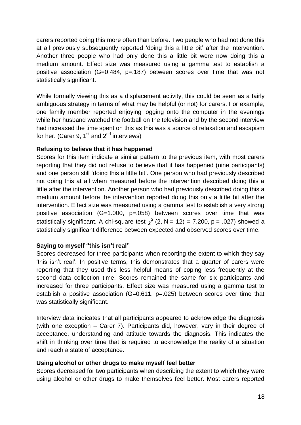carers reported doing this more often than before. Two people who had not done this at all previously subsequently reported 'doing this a little bit' after the intervention. Another three people who had only done this a little bit were now doing this a medium amount. Effect size was measured using a gamma test to establish a positive association (G=0.484, p=.187) between scores over time that was not statistically significant.

While formally viewing this as a displacement activity, this could be seen as a fairly ambiguous strategy in terms of what may be helpful (or not) for carers. For example, one family member reported enjoying logging onto the computer in the evenings while her husband watched the football on the television and by the second interview had increased the time spent on this as this was a source of relaxation and escapism for her. (Carer 9,  $1<sup>st</sup>$  and  $2<sup>nd</sup>$  interviews)

#### **Refusing to believe that it has happened**

Scores for this item indicate a similar pattern to the previous item, with most carers reporting that they did not refuse to believe that it has happened (nine participants) and one person still ‗doing this a little bit'. One person who had previously described not doing this at all when measured before the intervention described doing this a little after the intervention. Another person who had previously described doing this a medium amount before the intervention reported doing this only a little bit after the intervention. Effect size was measured using a gamma test to establish a very strong positive association (G=1.000, p=.058) between scores over time that was statistically significant. A chi-square test  $\chi^2$  (2, N = 12) = 7.200, p = .027) showed a statistically significant difference between expected and observed scores over time.

## **Saying to myself "this isn't real"**

Scores decreased for three participants when reporting the extent to which they say ‗this isn't real'. In positive terms, this demonstrates that a quarter of carers were reporting that they used this less helpful means of coping less frequently at the second data collection time. Scores remained the same for six participants and increased for three participants. Effect size was measured using a gamma test to establish a positive association (G=0.611, p=.025) between scores over time that was statistically significant.

Interview data indicates that all participants appeared to acknowledge the diagnosis (with one exception – Carer 7). Participants did, however, vary in their degree of acceptance, understanding and attitude towards the diagnosis. This indicates the shift in thinking over time that is required to acknowledge the reality of a situation and reach a state of acceptance.

#### **Using alcohol or other drugs to make myself feel better**

Scores decreased for two participants when describing the extent to which they were using alcohol or other drugs to make themselves feel better. Most carers reported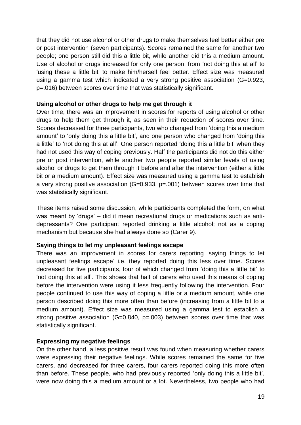that they did not use alcohol or other drugs to make themselves feel better either pre or post intervention (seven participants). Scores remained the same for another two people; one person still did this a little bit, while another did this a medium amount. Use of alcohol or drugs increased for only one person, from 'not doing this at all' to 'using these a little bit' to make him/herself feel better. Effect size was measured using a gamma test which indicated a very strong positive association (G=0.923, p=.016) between scores over time that was statistically significant.

#### **Using alcohol or other drugs to help me get through it**

Over time, there was an improvement in scores for reports of using alcohol or other drugs to help them get through it, as seen in their reduction of scores over time. Scores decreased for three participants, two who changed from ‗doing this a medium amount' to 'only doing this a little bit', and one person who changed from 'doing this a little' to 'not doing this at all'. One person reported 'doing this a little bit' when they had not used this way of coping previously. Half the participants did not do this either pre or post intervention, while another two people reported similar levels of using alcohol or drugs to get them through it before and after the intervention (either a little bit or a medium amount). Effect size was measured using a gamma test to establish a very strong positive association (G=0.933, p=.001) between scores over time that was statistically significant.

These items raised some discussion, while participants completed the form, on what was meant by 'drugs' – did it mean recreational drugs or medications such as antidepressants? One participant reported drinking a little alcohol; not as a coping mechanism but because she had always done so (Carer 9).

#### **Saying things to let my unpleasant feelings escape**

There was an improvement in scores for carers reporting 'saying things to let unpleasant feelings escape' i.e. they reported doing this less over time. Scores decreased for five participants, four of which changed from 'doing this a little bit' to 'not doing this at all'. This shows that half of carers who used this means of coping before the intervention were using it less frequently following the intervention. Four people continued to use this way of coping a little or a medium amount, while one person described doing this more often than before (increasing from a little bit to a medium amount). Effect size was measured using a gamma test to establish a strong positive association (G=0.840, p=.003) between scores over time that was statistically significant.

#### **Expressing my negative feelings**

On the other hand, a less positive result was found when measuring whether carers were expressing their negative feelings. While scores remained the same for five carers, and decreased for three carers, four carers reported doing this more often than before. These people, who had previously reported 'only doing this a little bit'. were now doing this a medium amount or a lot. Nevertheless, two people who had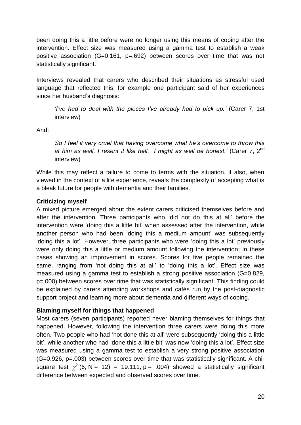been doing this a little before were no longer using this means of coping after the intervention. Effect size was measured using a gamma test to establish a weak positive association (G=0.161, p=.692) between scores over time that was not statistically significant.

Interviews revealed that carers who described their situations as stressful used language that reflected this, for example one participant said of her experiences since her husband's diagnosis:

*'I've had to deal with the pieces I've already had to pick up.'* (Carer 7, 1st interview)

And:

*So I feel it very cruel that having overcome what he's overcome to throw this at him as well, I resent it like hell. I might as well be honest.'* (Carer 7, 2nd interview)

While this may reflect a failure to come to terms with the situation, it also, when viewed in the context of a life experience, reveals the complexity of accepting what is a bleak future for people with dementia and their families.

## **Criticizing myself**

A mixed picture emerged about the extent carers criticised themselves before and after the intervention. Three participants who 'did not do this at all' before the intervention were 'doing this a little bit' when assessed after the intervention, while another person who had been 'doing this a medium amount' was subsequently ‗doing this a lot'. However, three participants who were ‗doing this a lot' previously were only doing this a little or medium amount following the intervention; in these cases showing an improvement in scores. Scores for five people remained the same, ranging from 'not doing this at all' to 'doing this a lot'. Effect size was measured using a gamma test to establish a strong positive association (G=0.829, p=.000) between scores over time that was statistically significant. This finding could be explained by carers attending workshops and cafés run by the post-diagnostic support project and learning more about dementia and different ways of coping.

## **Blaming myself for things that happened**

Most carers (seven participants) reported never blaming themselves for things that happened. However, following the intervention three carers were doing this more often. Two people who had 'not done this at all' were subsequently 'doing this a little bit', while another who had 'done this a little bit' was now 'doing this a lot'. Effect size was measured using a gamma test to establish a very strong positive association (G=0.926, p=.003) between scores over time that was statistically significant. A chisquare test  $\chi^2$  (6, N = 12) = 19.111, p = .004) showed a statistically significant difference between expected and observed scores over time.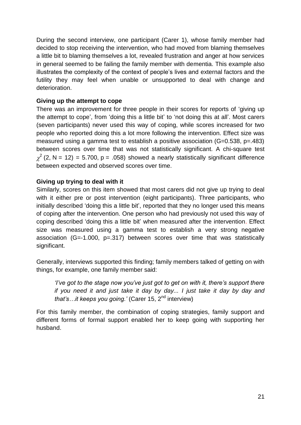During the second interview, one participant (Carer 1), whose family member had decided to stop receiving the intervention, who had moved from blaming themselves a little bit to blaming themselves a lot, revealed frustration and anger at how services in general seemed to be failing the family member with dementia. This example also illustrates the complexity of the context of people's lives and external factors and the futility they may feel when unable or unsupported to deal with change and deterioration.

## **Giving up the attempt to cope**

There was an improvement for three people in their scores for reports of 'giving up the attempt to cope', from 'doing this a little bit' to 'not doing this at all'. Most carers (seven participants) never used this way of coping, while scores increased for two people who reported doing this a lot more following the intervention. Effect size was measured using a gamma test to establish a positive association (G=0.538, p=.483) between scores over time that was not statistically significant. A chi-square test <sup>2</sup> (2, N = 12) = 5.700, p = .058) showed a nearly statistically significant difference between expected and observed scores over time.

## **Giving up trying to deal with it**

Similarly, scores on this item showed that most carers did not give up trying to deal with it either pre or post intervention (eight participants). Three participants, who initially described 'doing this a little bit', reported that they no longer used this means of coping after the intervention. One person who had previously not used this way of coping described ‗doing this a little bit' when measured after the intervention. Effect size was measured using a gamma test to establish a very strong negative association (G=-1.000, p=.317) between scores over time that was statistically significant.

Generally, interviews supported this finding; family members talked of getting on with things, for example, one family member said:

*'I've got to the stage now you've just got to get on with it, there's support there if you need it and just take it day by day... I just take it day by day and that's…it keeps you going.'* (Carer 15, 2<sup>nd</sup> interview)

For this family member, the combination of coping strategies, family support and different forms of formal support enabled her to keep going with supporting her husband.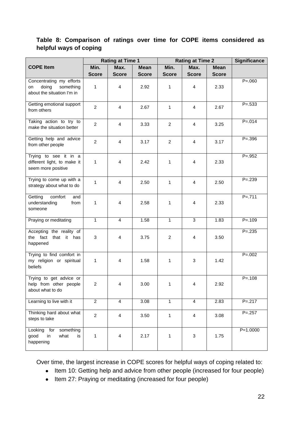## **Table 8: Comparison of ratings over time for COPE items considered as helpful ways of coping**

|                                                                                    | <b>Rating at Time 1</b> |                         | <b>Rating at Time 2</b> |                |                         | <b>Significance</b> |             |
|------------------------------------------------------------------------------------|-------------------------|-------------------------|-------------------------|----------------|-------------------------|---------------------|-------------|
| <b>COPE Item</b>                                                                   | Min.                    | Max.                    | <b>Mean</b>             | Min.           | Max.                    | <b>Mean</b>         |             |
|                                                                                    | <b>Score</b>            | <b>Score</b>            | <b>Score</b>            | <b>Score</b>   | <b>Score</b>            | <b>Score</b>        |             |
| Concentrating my efforts<br>doing<br>something<br>on<br>about the situation I'm in | 1                       | $\overline{\mathbf{4}}$ | 2.92                    | 1              | 4                       | 2.33                | $P = 060$   |
| Getting emotional support<br>from others                                           | $\overline{2}$          | $\overline{4}$          | 2.67                    | 1              | 4                       | 2.67                | $P = 533$   |
| Taking action to try to<br>make the situation better                               | $\overline{2}$          | $\overline{4}$          | 3.33                    | $\overline{2}$ | $\overline{4}$          | 3.25                | $P = 0.014$ |
| Getting help and advice<br>from other people                                       | $\overline{2}$          | $\overline{4}$          | 3.17                    | $\overline{2}$ | $\overline{4}$          | 3.17                | $P = 0.396$ |
| Trying to see it in a<br>different light, to make it<br>seem more positive         | 1                       | $\overline{4}$          | 2.42                    | 1              | $\overline{4}$          | 2.33                | $P = .952$  |
| Trying to come up with a<br>strategy about what to do                              | $\mathbf{1}$            | $\overline{4}$          | 2.50                    | 1              | $\overline{4}$          | 2.50                | $P = .239$  |
| comfort<br>Getting<br>and<br>understanding<br>from<br>someone                      | 1                       | $\overline{\mathbf{4}}$ | 2.58                    | 1              | 4                       | 2.33                | $P = .711$  |
| Praying or meditating                                                              | $\mathbf 1$             | $\overline{4}$          | 1.58                    | $\mathbf{1}$   | 3                       | 1.83                | $P = .109$  |
| Accepting the reality of<br>the fact<br>that it has<br>happened                    | 3                       | $\overline{4}$          | 3.75                    | $\overline{2}$ | 4                       | 3.50                | $P = 235$   |
| Trying to find comfort in<br>my religion or spiritual<br>beliefs                   | 1                       | $\overline{4}$          | 1.58                    | 1              | 3                       | 1.42                | $P = 0.002$ |
| Trying to get advice or<br>help from other people<br>about what to do              | $\overline{c}$          | $\overline{4}$          | 3.00                    | 1              | $\overline{4}$          | 2.92                | $P = .108$  |
| Learning to live with it                                                           | $\overline{2}$          | $\overline{4}$          | 3.08                    | $\mathbf{1}$   | $\overline{\mathbf{4}}$ | 2.83                | $P = .217$  |
| Thinking hard about what<br>steps to take                                          | $\overline{2}$          | $\overline{\mathbf{4}}$ | 3.50                    | 1              | $\overline{\mathbf{4}}$ | 3.08                | $P = .257$  |
| Looking<br>for<br>something<br>good<br>in<br>what<br>is<br>happening               | 1                       | $\overline{\mathbf{4}}$ | 2.17                    | 1              | 3                       | 1.75                | $P=1.0000$  |

Over time, the largest increase in COPE scores for helpful ways of coping related to:

- Item 10: Getting help and advice from other people (increased for four people)
- Item 27: Praying or meditating (increased for four people)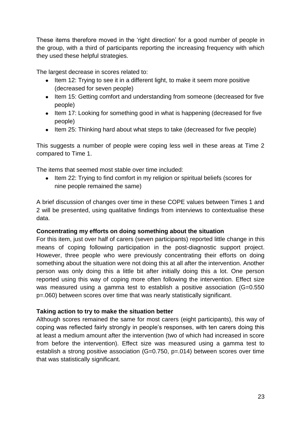These items therefore moved in the 'right direction' for a good number of people in the group, with a third of participants reporting the increasing frequency with which they used these helpful strategies.

The largest decrease in scores related to:

- Item 12: Trying to see it in a different light, to make it seem more positive (decreased for seven people)
- Item 15: Getting comfort and understanding from someone (decreased for five people)
- Item 17: Looking for something good in what is happening (decreased for five people)
- Item 25: Thinking hard about what steps to take (decreased for five people)

This suggests a number of people were coping less well in these areas at Time 2 compared to Time 1.

The items that seemed most stable over time included:

• Item 22: Trying to find comfort in my religion or spiritual beliefs (scores for nine people remained the same)

A brief discussion of changes over time in these COPE values between Times 1 and 2 will be presented, using qualitative findings from interviews to contextualise these data.

## **Concentrating my efforts on doing something about the situation**

For this item, just over half of carers (seven participants) reported little change in this means of coping following participation in the post-diagnostic support project. However, three people who were previously concentrating their efforts on doing something about the situation were not doing this at all after the intervention. Another person was only doing this a little bit after initially doing this a lot. One person reported using this way of coping more often following the intervention. Effect size was measured using a gamma test to establish a positive association (G=0.550) p=.060) between scores over time that was nearly statistically significant.

## **Taking action to try to make the situation better**

Although scores remained the same for most carers (eight participants), this way of coping was reflected fairly strongly in people's responses, with ten carers doing this at least a medium amount after the intervention (two of which had increased in score from before the intervention). Effect size was measured using a gamma test to establish a strong positive association (G=0.750, p=.014) between scores over time that was statistically significant.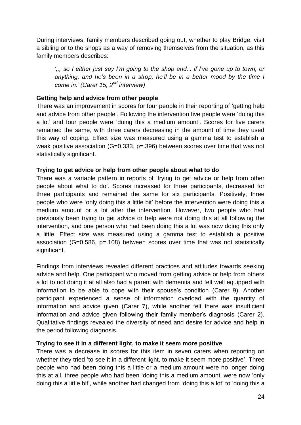During interviews, family members described going out, whether to play Bridge, visit a sibling or to the shops as a way of removing themselves from the situation, as this family members describes:

*',,, so I either just say I'm going to the shop and... if I've gone up to town, or anything, and he's been in a strop, he'll be in a better mood by the time I come in.' (Carer 15, 2nd interview)*

## **Getting help and advice from other people**

There was an improvement in scores for four people in their reporting of 'getting help and advice from other people'. Following the intervention five people were 'doing this a lot' and four people were 'doing this a medium amount'. Scores for five carers remained the same, with three carers decreasing in the amount of time they used this way of coping. Effect size was measured using a gamma test to establish a weak positive association (G=0.333, p=.396) between scores over time that was not statistically significant.

## **Trying to get advice or help from other people about what to do**

There was a variable pattern in reports of ‗trying to get advice or help from other people about what to do'. Scores increased for three participants, decreased for three participants and remained the same for six participants. Positively, three people who were 'only doing this a little bit' before the intervention were doing this a medium amount or a lot after the intervention. However, two people who had previously been trying to get advice or help were not doing this at all following the intervention, and one person who had been doing this a lot was now doing this only a little. Effect size was measured using a gamma test to establish a positive association (G=0.586, p=.108) between scores over time that was not statistically significant.

Findings from interviews revealed different practices and attitudes towards seeking advice and help. One participant who moved from getting advice or help from others a lot to not doing it at all also had a parent with dementia and felt well equipped with information to be able to cope with their spouse's condition (Carer 9). Another participant experienced a sense of information overload with the quantity of information and advice given (Carer 7), while another felt there was insufficient information and advice given following their family member's diagnosis (Carer 2). Qualitative findings revealed the diversity of need and desire for advice and help in the period following diagnosis.

## **Trying to see it in a different light, to make it seem more positive**

There was a decrease in scores for this item in seven carers when reporting on whether they tried 'to see it in a different light, to make it seem more positive'. Three people who had been doing this a little or a medium amount were no longer doing this at all, three people who had been 'doing this a medium amount' were now 'only doing this a little bit', while another had changed from 'doing this a lot' to 'doing this a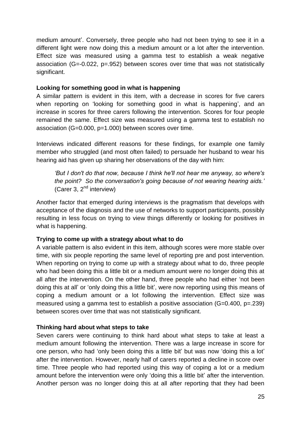medium amount'. Conversely, three people who had not been trying to see it in a different light were now doing this a medium amount or a lot after the intervention. Effect size was measured using a gamma test to establish a weak negative association (G=-0.022, p=.952) between scores over time that was not statistically significant.

#### **Looking for something good in what is happening**

A similar pattern is evident in this item, with a decrease in scores for five carers when reporting on 'looking for something good in what is happening', and an increase in scores for three carers following the intervention. Scores for four people remained the same. Effect size was measured using a gamma test to establish no association (G=0.000, p=1.000) between scores over time.

Interviews indicated different reasons for these findings, for example one family member who struggled (and most often failed) to persuade her husband to wear his hearing aid has given up sharing her observations of the day with him:

*'But I don't do that now, because I think he'll not hear me anyway, so where's the point? So the conversation's going because of not wearing hearing aids.'* (Carer 3,  $2^{nd}$  interview)

Another factor that emerged during interviews is the pragmatism that develops with acceptance of the diagnosis and the use of networks to support participants, possibly resulting in less focus on trying to view things differently or looking for positives in what is happening.

## **Trying to come up with a strategy about what to do**

A variable pattern is also evident in this item, although scores were more stable over time, with six people reporting the same level of reporting pre and post intervention. When reporting on trying to come up with a strategy about what to do, three people who had been doing this a little bit or a medium amount were no longer doing this at all after the intervention. On the other hand, three people who had either 'not been doing this at all' or 'only doing this a little bit', were now reporting using this means of coping a medium amount or a lot following the intervention. Effect size was measured using a gamma test to establish a positive association (G=0.400, p=.239) between scores over time that was not statistically significant.

## **Thinking hard about what steps to take**

Seven carers were continuing to think hard about what steps to take at least a medium amount following the intervention. There was a large increase in score for one person, who had ‗only been doing this a little bit' but was now ‗doing this a lot' after the intervention. However, nearly half of carers reported a decline in score over time. Three people who had reported using this way of coping a lot or a medium amount before the intervention were only 'doing this a little bit' after the intervention. Another person was no longer doing this at all after reporting that they had been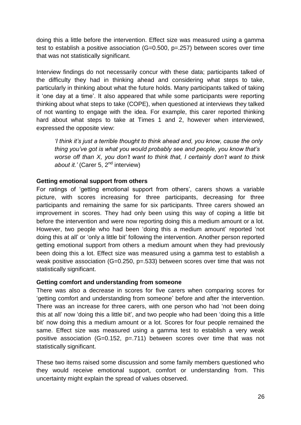doing this a little before the intervention. Effect size was measured using a gamma test to establish a positive association (G=0.500, p=.257) between scores over time that was not statistically significant.

Interview findings do not necessarily concur with these data; participants talked of the difficulty they had in thinking ahead and considering what steps to take, particularly in thinking about what the future holds. Many participants talked of taking it 'one day at a time'. It also appeared that while some participants were reporting thinking about what steps to take (COPE), when questioned at interviews they talked of not wanting to engage with the idea. For example, this carer reported thinking hard about what steps to take at Times 1 and 2, however when interviewed, expressed the opposite view:

*'I think it's just a terrible thought to think ahead and, you know, cause the only thing you've got is what you would probably see and people, you know that's worse off than X, you don't want to think that, I certainly don't want to think*  about *it.'* (Carer 5, 2<sup>nd</sup> interview)

## **Getting emotional support from others**

For ratings of 'getting emotional support from others', carers shows a variable picture, with scores increasing for three participants, decreasing for three participants and remaining the same for six participants. Three carers showed an improvement in scores. They had only been using this way of coping a little bit before the intervention and were now reporting doing this a medium amount or a lot. However, two people who had been 'doing this a medium amount' reported 'not doing this at all' or 'only a little bit' following the intervention. Another person reported getting emotional support from others a medium amount when they had previously been doing this a lot. Effect size was measured using a gamma test to establish a weak positive association (G=0.250, p=.533) between scores over time that was not statistically significant.

## **Getting comfort and understanding from someone**

There was also a decrease in scores for five carers when comparing scores for ‗getting comfort and understanding from someone' before and after the intervention. There was an increase for three carers, with one person who had 'not been doing this at all' now 'doing this a little bit', and two people who had been 'doing this a little bit' now doing this a medium amount or a lot. Scores for four people remained the same. Effect size was measured using a gamma test to establish a very weak positive association (G=0.152, p=.711) between scores over time that was not statistically significant.

These two items raised some discussion and some family members questioned who they would receive emotional support, comfort or understanding from. This uncertainty might explain the spread of values observed.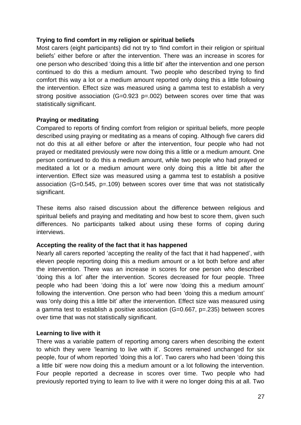#### **Trying to find comfort in my religion or spiritual beliefs**

Most carers (eight participants) did not try to 'find comfort in their religion or spiritual beliefs' either before or after the intervention. There was an increase in scores for one person who described ‗doing this a little bit' after the intervention and one person continued to do this a medium amount. Two people who described trying to find comfort this way a lot or a medium amount reported only doing this a little following the intervention. Effect size was measured using a gamma test to establish a very strong positive association (G=0.923 p=.002) between scores over time that was statistically significant.

#### **Praying or meditating**

Compared to reports of finding comfort from religion or spiritual beliefs, more people described using praying or meditating as a means of coping. Although five carers did not do this at all either before or after the intervention, four people who had not prayed or meditated previously were now doing this a little or a medium amount. One person continued to do this a medium amount, while two people who had prayed or meditated a lot or a medium amount were only doing this a little bit after the intervention. Effect size was measured using a gamma test to establish a positive association (G=0.545, p=.109) between scores over time that was not statistically significant.

These items also raised discussion about the difference between religious and spiritual beliefs and praying and meditating and how best to score them, given such differences. No participants talked about using these forms of coping during interviews.

#### **Accepting the reality of the fact that it has happened**

Nearly all carers reported 'accepting the reality of the fact that it had happened', with eleven people reporting doing this a medium amount or a lot both before and after the intervention. There was an increase in scores for one person who described ‗doing this a lot' after the intervention. Scores decreased for four people. Three people who had been 'doing this a lot' were now 'doing this a medium amount' following the intervention. One person who had been 'doing this a medium amount' was 'only doing this a little bit' after the intervention. Effect size was measured using a gamma test to establish a positive association (G=0.667, p=.235) between scores over time that was not statistically significant.

#### **Learning to live with it**

There was a variable pattern of reporting among carers when describing the extent to which they were 'learning to live with it'. Scores remained unchanged for six people, four of whom reported 'doing this a lot'. Two carers who had been 'doing this a little bit' were now doing this a medium amount or a lot following the intervention. Four people reported a decrease in scores over time. Two people who had previously reported trying to learn to live with it were no longer doing this at all. Two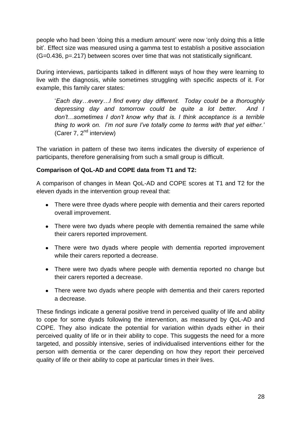people who had been 'doing this a medium amount' were now 'only doing this a little bit'. Effect size was measured using a gamma test to establish a positive association (G=0.436, p=.217) between scores over time that was not statistically significant.

During interviews, participants talked in different ways of how they were learning to live with the diagnosis, while sometimes struggling with specific aspects of it. For example, this family carer states:

‗*Each day…every…I find every day different. Today could be a thoroughly depressing day and tomorrow could be quite a lot better. And I don't…sometimes I don't know why that is. I think acceptance is a terrible thing to work on. I'm not sure I've totally come to terms with that yet either.'* (Carer 7, 2<sup>nd</sup> interview)

The variation in pattern of these two items indicates the diversity of experience of participants, therefore generalising from such a small group is difficult.

## **Comparison of QoL-AD and COPE data from T1 and T2:**

A comparison of changes in Mean QoL-AD and COPE scores at T1 and T2 for the eleven dyads in the intervention group reveal that:

- There were three dyads where people with dementia and their carers reported overall improvement.
- There were two dyads where people with dementia remained the same while their carers reported improvement.
- There were two dyads where people with dementia reported improvement while their carers reported a decrease.
- There were two dyads where people with dementia reported no change but their carers reported a decrease.
- There were two dyads where people with dementia and their carers reported a decrease.

These findings indicate a general positive trend in perceived quality of life and ability to cope for some dyads following the intervention, as measured by QoL-AD and COPE. They also indicate the potential for variation within dyads either in their perceived quality of life or in their ability to cope. This suggests the need for a more targeted, and possibly intensive, series of individualised interventions either for the person with dementia or the carer depending on how they report their perceived quality of life or their ability to cope at particular times in their lives.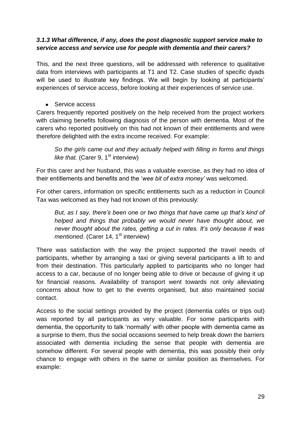## *3.1.3 What difference, if any, does the post diagnostic support service make to service access and service use for people with dementia and their carers?*

This, and the next three questions, will be addressed with reference to qualitative data from interviews with participants at T1 and T2. Case studies of specific dyads will be used to illustrate key findings. We will begin by looking at participants' experiences of service access, before looking at their experiences of service use.

• Service access

Carers frequently reported positively on the help received from the project workers with claiming benefits following diagnosis of the person with dementia. Most of the carers who reported positively on this had not known of their entitlements and were therefore delighted with the extra income received. For example:

*So the girls came out and they actually helped with filling in forms and things like that.* (Carer 9, 1<sup>st</sup> interview)

For this carer and her husband, this was a valuable exercise, as they had no idea of their entitlements and benefits and the ‗*wee bit of extra money'* was welcomed.

For other carers, information on specific entitlements such as a reduction in Council Tax was welcomed as they had not known of this previously:

*But, as I say, there's been one or two things that have came up that's kind of helped and things that probably we would never have thought about, we never thought about the rates, getting a cut in rates. It's only because it was mentioned.* (Carer 14, 1<sup>st</sup> interview)

There was satisfaction with the way the project supported the travel needs of participants, whether by arranging a taxi or giving several participants a lift to and from their destination. This particularly applied to participants who no longer had access to a car, because of no longer being able to drive or because of giving it up for financial reasons. Availability of transport went towards not only alleviating concerns about how to get to the events organised, but also maintained social contact.

Access to the social settings provided by the project (dementia cafés or trips out) was reported by all participants as very valuable. For some participants with dementia, the opportunity to talk 'normally' with other people with dementia came as a surprise to them, thus the social occasions seemed to help break down the barriers associated with dementia including the sense that people with dementia are somehow different. For several people with dementia, this was possibly their only chance to engage with others in the same or similar position as themselves. For example: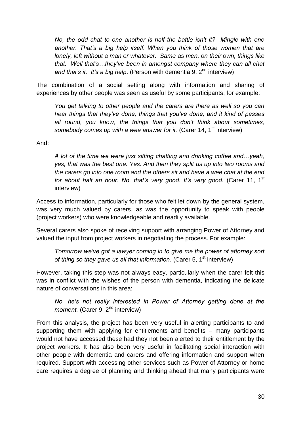*No, the odd chat to one another is half the battle isn't it? Mingle with one another. That's a big help itself. When you think of those women that are lonely, left without a man or whatever. Same as men, on their own, things like that. Well that's…they've been in amongst company where they can all chat and that's it. It's a big help.* (Person with dementia 9, 2<sup>nd</sup> interview)

The combination of a social setting along with information and sharing of experiences by other people was seen as useful by some participants, for example:

*You get talking to other people and the carers are there as well so you can hear things that they've done, things that you've done, and it kind of passes all round, you know, the things that you don't think about sometimes, somebody comes up with a wee answer for it.* (Carer 14, 1<sup>st</sup> interview)

And:

*A lot of the time we were just sitting chatting and drinking coffee and…yeah, yes, that was the best one. Yes. And then they split us up into two rooms and the carers go into one room and the others sit and have a wee chat at the end*  for about half an hour. No, that's very good. It's very good. (Carer 11, 1<sup>st</sup> interview)

Access to information, particularly for those who felt let down by the general system, was very much valued by carers, as was the opportunity to speak with people (project workers) who were knowledgeable and readily available.

Several carers also spoke of receiving support with arranging Power of Attorney and valued the input from project workers in negotiating the process. For example:

*Tomorrow we've got a lawyer coming in to give me the power of attorney sort of thing so they gave us all that information.* (Carer 5, 1<sup>st</sup> interview)

However, taking this step was not always easy, particularly when the carer felt this was in conflict with the wishes of the person with dementia, indicating the delicate nature of conversations in this area:

*No, he's not really interested in Power of Attorney getting done at the moment.* (Carer 9, 2<sup>nd</sup> interview)

From this analysis, the project has been very useful in alerting participants to and supporting them with applying for entitlements and benefits – many participants would not have accessed these had they not been alerted to their entitlement by the project workers. It has also been very useful in facilitating social interaction with other people with dementia and carers and offering information and support when required. Support with accessing other services such as Power of Attorney or home care requires a degree of planning and thinking ahead that many participants were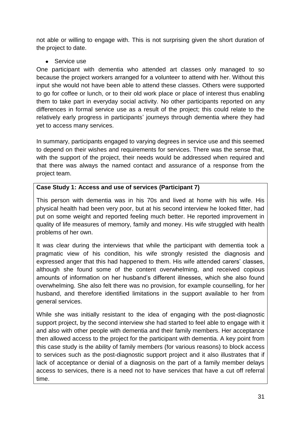not able or willing to engage with. This is not surprising given the short duration of the project to date.

Service use  $\bullet$ 

One participant with dementia who attended art classes only managed to so because the project workers arranged for a volunteer to attend with her. Without this input she would not have been able to attend these classes. Others were supported to go for coffee or lunch, or to their old work place or place of interest thus enabling them to take part in everyday social activity. No other participants reported on any differences in formal service use as a result of the project; this could relate to the relatively early progress in participants' journeys through dementia where they had yet to access many services.

In summary, participants engaged to varying degrees in service use and this seemed to depend on their wishes and requirements for services. There was the sense that, with the support of the project, their needs would be addressed when required and that there was always the named contact and assurance of a response from the project team.

## **Case Study 1: Access and use of services (Participant 7)**

This person with dementia was in his 70s and lived at home with his wife. His physical health had been very poor, but at his second interview he looked fitter, had put on some weight and reported feeling much better. He reported improvement in quality of life measures of memory, family and money. His wife struggled with health problems of her own.

It was clear during the interviews that while the participant with dementia took a pragmatic view of his condition, his wife strongly resisted the diagnosis and expressed anger that this had happened to them. His wife attended carers' classes, although she found some of the content overwhelming, and received copious amounts of information on her husband's different illnesses, which she also found overwhelming. She also felt there was no provision, for example counselling, for her husband, and therefore identified limitations in the support available to her from general services.

While she was initially resistant to the idea of engaging with the post-diagnostic support project, by the second interview she had started to feel able to engage with it and also with other people with dementia and their family members. Her acceptance then allowed access to the project for the participant with dementia. A key point from this case study is the ability of family members (for various reasons) to block access to services such as the post-diagnostic support project and it also illustrates that if lack of acceptance or denial of a diagnosis on the part of a family member delays access to services, there is a need not to have services that have a cut off referral time.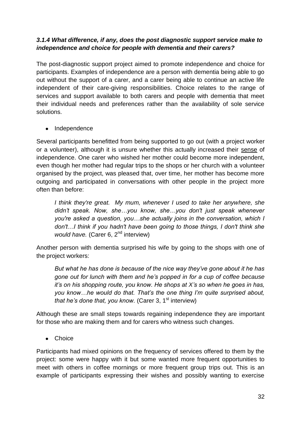## *3.1.4 What difference, if any, does the post diagnostic support service make to independence and choice for people with dementia and their carers?*

The post-diagnostic support project aimed to promote independence and choice for participants. Examples of independence are a person with dementia being able to go out without the support of a carer, and a carer being able to continue an active life independent of their care-giving responsibilities. Choice relates to the range of services and support available to both carers and people with dementia that meet their individual needs and preferences rather than the availability of sole service solutions.

• Independence

Several participants benefitted from being supported to go out (with a project worker or a volunteer), although it is unsure whether this actually increased their sense of independence. One carer who wished her mother could become more independent, even though her mother had regular trips to the shops or her church with a volunteer organised by the project, was pleased that, over time, her mother has become more outgoing and participated in conversations with other people in the project more often than before:

*I think they're great. My mum, whenever I used to take her anywhere, she didn't speak. Now, she…you know, she…you don't just speak whenever you're asked a question, you…she actually joins in the conversation, which I don't…I think if you hadn't have been going to those things, I don't think she would have.* (Carer 6, 2<sup>nd</sup> interview)

Another person with dementia surprised his wife by going to the shops with one of the project workers:

*But what he has done is because of the nice way they've gone about it he has gone out for lunch with them and he's popped in for a cup of coffee because it's on his shopping route, you know. He shops at X's so when he goes in has, you know…he would do that. That's the one thing I'm quite surprised about, that he's done that, you know.* (Carer 3, 1<sup>st</sup> interview)

Although these are small steps towards regaining independence they are important for those who are making them and for carers who witness such changes.

**Choice**  $\bullet$ 

Participants had mixed opinions on the frequency of services offered to them by the project: some were happy with it but some wanted more frequent opportunities to meet with others in coffee mornings or more frequent group trips out. This is an example of participants expressing their wishes and possibly wanting to exercise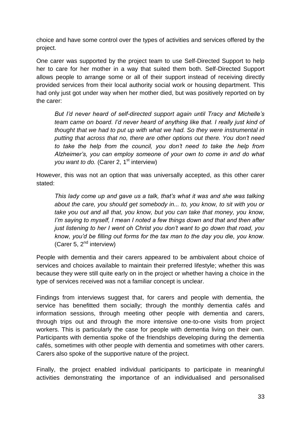choice and have some control over the types of activities and services offered by the project.

One carer was supported by the project team to use Self-Directed Support to help her to care for her mother in a way that suited them both. Self-Directed Support allows people to arrange some or all of their support instead of receiving directly provided services from their local authority social work or housing department. This had only just got under way when her mother died, but was positively reported on by the carer:

*But I'd never heard of self-directed support again until Tracy and Michelle's team came on board. I'd never heard of anything like that. I really just kind of thought that we had to put up with what we had. So they were instrumental in putting that across that no, there are other options out there. You don't need to take the help from the council, you don't need to take the help from Alzheimer's, you can employ someone of your own to come in and do what you want to do.* (Carer 2, 1<sup>st</sup> interview)

However, this was not an option that was universally accepted, as this other carer stated:

*This lady come up and gave us a talk, that's what it was and she was talking about the care, you should get somebody in... to, you know, to sit with you or take you out and all that, you know, but you can take that money, you know, I'm saying to myself, I mean I noted a few things down and that and then after just listening to her I went oh Christ you don't want to go down that road, you know, you'd be filling out forms for the tax man to the day you die, you know.*  (Carer 5,  $2<sup>nd</sup>$  interview)

People with dementia and their carers appeared to be ambivalent about choice of services and choices available to maintain their preferred lifestyle; whether this was because they were still quite early on in the project or whether having a choice in the type of services received was not a familiar concept is unclear.

Findings from interviews suggest that, for carers and people with dementia, the service has benefitted them socially; through the monthly dementia cafés and information sessions, through meeting other people with dementia and carers, through trips out and through the more intensive one-to-one visits from project workers. This is particularly the case for people with dementia living on their own. Participants with dementia spoke of the friendships developing during the dementia cafés, sometimes with other people with dementia and sometimes with other carers. Carers also spoke of the supportive nature of the project.

Finally, the project enabled individual participants to participate in meaningful activities demonstrating the importance of an individualised and personalised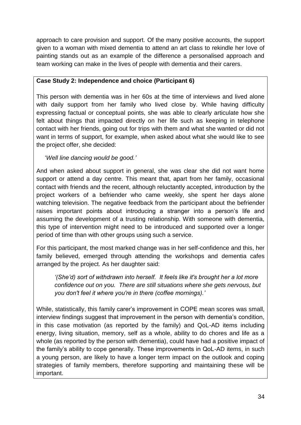approach to care provision and support. Of the many positive accounts, the support given to a woman with mixed dementia to attend an art class to rekindle her love of painting stands out as an example of the difference a personalised approach and team working can make in the lives of people with dementia and their carers.

## **Case Study 2: Independence and choice (Participant 6)**

This person with dementia was in her 60s at the time of interviews and lived alone with daily support from her family who lived close by. While having difficulty expressing factual or conceptual points, she was able to clearly articulate how she felt about things that impacted directly on her life such as keeping in telephone contact with her friends, going out for trips with them and what she wanted or did not want in terms of support, for example, when asked about what she would like to see the project offer, she decided:

‗*Well line dancing would be good.'*

And when asked about support in general, she was clear she did not want home support or attend a day centre. This meant that, apart from her family, occasional contact with friends and the recent, although reluctantly accepted, introduction by the project workers of a befriender who came weekly, she spent her days alone watching television. The negative feedback from the participant about the befriender raises important points about introducing a stranger into a person's life and assuming the development of a trusting relationship. With someone with dementia, this type of intervention might need to be introduced and supported over a longer period of time than with other groups using such a service.

For this participant, the most marked change was in her self-confidence and this, her family believed, emerged through attending the workshops and dementia cafes arranged by the project. As her daughter said:

*'(She'd) sort of withdrawn into herself. It feels like it's brought her a lot more confidence out on you. There are still situations where she gets nervous, but you don't feel it where you're in there (coffee mornings).'*

While, statistically, this family carer's improvement in COPE mean scores was small, interview findings suggest that improvement in the person with dementia's condition, in this case motivation (as reported by the family) and QoL-AD items including energy, living situation, memory, self as a whole, ability to do chores and life as a whole (as reported by the person with dementia), could have had a positive impact of the family's ability to cope generally. These improvements in QoL-AD items, in such a young person, are likely to have a longer term impact on the outlook and coping strategies of family members, therefore supporting and maintaining these will be important.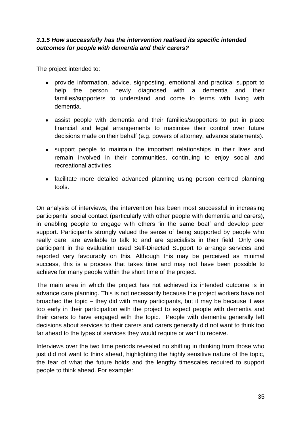## *3.1.5 How successfully has the intervention realised its specific intended outcomes for people with dementia and their carers?*

The project intended to:

- provide information, advice, signposting, emotional and practical support to help the person newly diagnosed with a dementia and their families/supporters to understand and come to terms with living with dementia.
- assist people with dementia and their families/supporters to put in place financial and legal arrangements to maximise their control over future decisions made on their behalf (e.g. powers of attorney, advance statements).
- support people to maintain the important relationships in their lives and remain involved in their communities, continuing to enjoy social and recreational activities.
- facilitate more detailed advanced planning using person centred planning tools.

On analysis of interviews, the intervention has been most successful in increasing participants' social contact (particularly with other people with dementia and carers), in enabling people to engage with others 'in the same boat' and develop peer support. Participants strongly valued the sense of being supported by people who really care, are available to talk to and are specialists in their field. Only one participant in the evaluation used Self-Directed Support to arrange services and reported very favourably on this. Although this may be perceived as minimal success, this is a process that takes time and may not have been possible to achieve for many people within the short time of the project.

The main area in which the project has not achieved its intended outcome is in advance care planning. This is not necessarily because the project workers have not broached the topic – they did with many participants, but it may be because it was too early in their participation with the project to expect people with dementia and their carers to have engaged with the topic. People with dementia generally left decisions about services to their carers and carers generally did not want to think too far ahead to the types of services they would require or want to receive.

Interviews over the two time periods revealed no shifting in thinking from those who just did not want to think ahead, highlighting the highly sensitive nature of the topic, the fear of what the future holds and the lengthy timescales required to support people to think ahead. For example: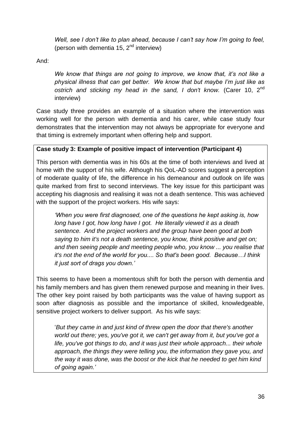*Well, see I don't like to plan ahead, because I can't say how I'm going to feel,* (person with dementia 15,  $2<sup>nd</sup>$  interview)

And:

*We know that things are not going to improve, we know that, it's not like a physical illness that can get better. We know that but maybe I'm just like as ostrich and sticking my head in the sand, I don't know.* (Carer 10, 2nd interview)

Case study three provides an example of a situation where the intervention was working well for the person with dementia and his carer, while case study four demonstrates that the intervention may not always be appropriate for everyone and that timing is extremely important when offering help and support.

## **Case study 3: Example of positive impact of intervention (Participant 4)**

This person with dementia was in his 60s at the time of both interviews and lived at home with the support of his wife. Although his QoL-AD scores suggest a perception of moderate quality of life, the difference in his demeanour and outlook on life was quite marked from first to second interviews. The key issue for this participant was accepting his diagnosis and realising it was not a death sentence. This was achieved with the support of the project workers. His wife says:

*'When you were first diagnosed, one of the questions he kept asking is, how long have I got, how long have I got. He literally viewed it as a death sentence. And the project workers and the group have been good at both saying to him it's not a death sentence, you know, think positive and get on; and then seeing people and meeting people who, you know ... you realise that it's not the end of the world for you.... So that's been good. Because…I think it just sort of drags you down.'*

This seems to have been a momentous shift for both the person with dementia and his family members and has given them renewed purpose and meaning in their lives. The other key point raised by both participants was the value of having support as soon after diagnosis as possible and the importance of skilled, knowledgeable, sensitive project workers to deliver support. As his wife says:

‗*But they came in and just kind of threw open the door that there's another world out there; yes, you've got it, we can't get away from it, but you've got a life, you've got things to do, and it was just their whole approach... their whole approach, the things they were telling you, the information they gave you, and the way it was done, was the boost or the kick that he needed to get him kind of going again.'*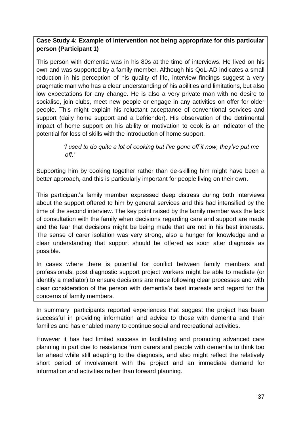## **Case Study 4: Example of intervention not being appropriate for this particular person (Participant 1)**

This person with dementia was in his 80s at the time of interviews. He lived on his own and was supported by a family member. Although his QoL-AD indicates a small reduction in his perception of his quality of life, interview findings suggest a very pragmatic man who has a clear understanding of his abilities and limitations, but also low expectations for any change. He is also a very private man with no desire to socialise, join clubs, meet new people or engage in any activities on offer for older people. This might explain his reluctant acceptance of conventional services and support (daily home support and a befriender). His observation of the detrimental impact of home support on his ability or motivation to cook is an indicator of the potential for loss of skills with the introduction of home support.

> *I* used to do quite a lot of cooking but I've gone off it now, they've put me  *off.'*

Supporting him by cooking together rather than de-skilling him might have been a better approach, and this is particularly important for people living on their own.

This participant's family member expressed deep distress during both interviews about the support offered to him by general services and this had intensified by the time of the second interview. The key point raised by the family member was the lack of consultation with the family when decisions regarding care and support are made and the fear that decisions might be being made that are not in his best interests. The sense of carer isolation was very strong, also a hunger for knowledge and a clear understanding that support should be offered as soon after diagnosis as possible.

In cases where there is potential for conflict between family members and professionals, post diagnostic support project workers might be able to mediate (or identify a mediator) to ensure decisions are made following clear processes and with clear consideration of the person with dementia's best interests and regard for the concerns of family members.

In summary, participants reported experiences that suggest the project has been successful in providing information and advice to those with dementia and their families and has enabled many to continue social and recreational activities.

However it has had limited success in facilitating and promoting advanced care planning in part due to resistance from carers and people with dementia to think too far ahead while still adapting to the diagnosis, and also might reflect the relatively short period of involvement with the project and an immediate demand for information and activities rather than forward planning.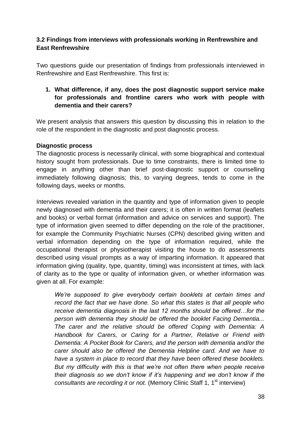## <span id="page-41-0"></span>**3.2 Findings from interviews with professionals working in Renfrewshire and East Renfrewshire**

Two questions guide our presentation of findings from professionals interviewed in Renfrewshire and East Renfrewshire. This first is:

**1. What difference, if any, does the post diagnostic support service make for professionals and frontline carers who work with people with dementia and their carers?** 

We present analysis that answers this question by discussing this in relation to the role of the respondent in the diagnostic and post diagnostic process.

## **Diagnostic process**

The diagnostic process is necessarily clinical, with some biographical and contextual history sought from professionals. Due to time constraints, there is limited time to engage in anything other than brief post-diagnostic support or counselling immediately following diagnosis; this, to varying degrees, tends to come in the following days, weeks or months.

Interviews revealed variation in the quantity and type of information given to people newly diagnosed with dementia and their carers; it is often in written format (leaflets and books) or verbal format (information and advice on services and support). The type of information given seemed to differ depending on the role of the practitioner, for example the Community Psychiatric Nurses (CPN) described giving written and verbal information depending on the type of information required, while the occupational therapist or physiotherapist visiting the house to do assessments described using visual prompts as a way of imparting information. It appeared that information giving (quality, type, quantity, timing) was inconsistent at times, with lack of clarity as to the type or quality of information given, or whether information was given at all. For example:

*We're supposed to give everybody certain booklets at certain times and record the fact that we have done. So what this states is that all people who receive dementia diagnosis in the last 12 months should be offered…for the person with dementia they should be offered the booklet Facing Dementia... The carer and the relative should be offered Coping with Dementia: A Handbook for Carers, or Caring for a Partner, Relative or Friend with Dementia: A Pocket Book for Carers, and the person with dementia and/or the carer should also be offered the Dementia Helpline card. And we have to have a system in place to record that they have been offered these booklets. But my difficulty with this is that we're not often there when people receive their diagnosis so we don't know if it's happening and we don't know if the consultants are recording it or not.* (Memory Clinic Staff 1, 1<sup>st</sup> interview)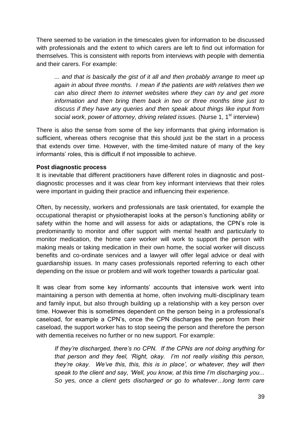There seemed to be variation in the timescales given for information to be discussed with professionals and the extent to which carers are left to find out information for themselves. This is consistent with reports from interviews with people with dementia and their carers. For example:

*... and that is basically the gist of it all and then probably arrange to meet up again in about three months. I mean if the patients are with relatives then we can also direct them to internet websites where they can try and get more information and then bring them back in two or three months time just to discuss if they have any queries and then speak about things like input from*  social work, power of attorney, driving related issues. (Nurse 1, 1<sup>st</sup> interview)

There is also the sense from some of the key informants that giving information is sufficient, whereas others recognise that this should just be the start in a process that extends over time. However, with the time-limited nature of many of the key informants' roles, this is difficult if not impossible to achieve.

#### **Post diagnostic process**

It is inevitable that different practitioners have different roles in diagnostic and postdiagnostic processes and it was clear from key informant interviews that their roles were important in guiding their practice and influencing their experience.

Often, by necessity, workers and professionals are task orientated, for example the occupational therapist or physiotherapist looks at the person's functioning ability or safety within the home and will assess for aids or adaptations, the CPN's role is predominantly to monitor and offer support with mental health and particularly to monitor medication, the home care worker will work to support the person with making meals or taking medication in their own home, the social worker will discuss benefits and co-ordinate services and a lawyer will offer legal advice or deal with guardianship issues. In many cases professionals reported referring to each other depending on the issue or problem and will work together towards a particular goal.

It was clear from some key informants' accounts that intensive work went into maintaining a person with dementia at home, often involving multi-disciplinary team and family input, but also through building up a relationship with a key person over time. However this is sometimes dependent on the person being in a professional's caseload, for example a CPN's, once the CPN discharges the person from their caseload, the support worker has to stop seeing the person and therefore the person with dementia receives no further or no new support. For example:

*If they're discharged, there's no CPN. If the CPNs are not doing anything for that person and they feel, 'Right, okay. I'm not really visiting this person, they're okay. We've this, this, this is in place', or whatever, they will then speak to the client and say, 'Well, you know, at this time I'm discharging you... So yes, once a client gets discharged or go to whatever…long term care*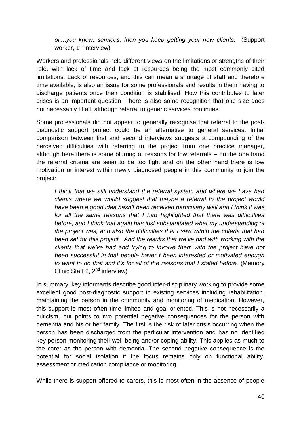*or…you know, services, then you keep getting your new clients.* (Support worker,  $1<sup>st</sup>$  interview)

Workers and professionals held different views on the limitations or strengths of their role, with lack of time and lack of resources being the most commonly cited limitations. Lack of resources, and this can mean a shortage of staff and therefore time available, is also an issue for some professionals and results in them having to discharge patients once their condition is stabilised. How this contributes to later crises is an important question. There is also some recognition that one size does not necessarily fit all, although referral to generic services continues.

Some professionals did not appear to generally recognise that referral to the postdiagnostic support project could be an alternative to general services. Initial comparison between first and second interviews suggests a compounding of the perceived difficulties with referring to the project from one practice manager, although here there is some blurring of reasons for low referrals – on the one hand the referral criteria are seen to be too tight and on the other hand there is low motivation or interest within newly diagnosed people in this community to join the project:

*I think that we still understand the referral system and where we have had clients where we would suggest that maybe a referral to the project would have been a good idea hasn't been received particularly well and I think it was for all the same reasons that I had highlighted that there was difficulties before, and I think that again has just substantiated what my understanding of the project was, and also the difficulties that I saw within the criteria that had been set for this project. And the results that we've had with working with the clients that we've had and trying to involve them with the project have not been successful in that people haven't been interested or motivated enough to want to do that and it's for all of the reasons that I stated before.* (Memory Clinic Staff 2,  $2^{nd}$  interview)

In summary, key informants describe good inter-disciplinary working to provide some excellent good post-diagnostic support in existing services including rehabilitation, maintaining the person in the community and monitoring of medication. However, this support is most often time-limited and goal oriented. This is not necessarily a criticism, but points to two potential negative consequences for the person with dementia and his or her family. The first is the risk of later crisis occurring when the person has been discharged from the particular intervention and has no identified key person monitoring their well-being and/or coping ability. This applies as much to the carer as the person with dementia. The second negative consequence is the potential for social isolation if the focus remains only on functional ability, assessment or medication compliance or monitoring.

While there is support offered to carers, this is most often in the absence of people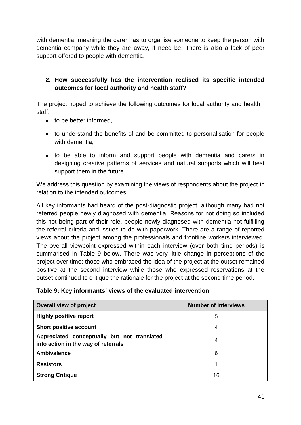with dementia, meaning the carer has to organise someone to keep the person with dementia company while they are away, if need be. There is also a lack of peer support offered to people with dementia.

## **2. How successfully has the intervention realised its specific intended outcomes for local authority and health staff?**

The project hoped to achieve the following outcomes for local authority and health staff:

- to be better informed.
- to understand the benefits of and be committed to personalisation for people with dementia,
- to be able to inform and support people with dementia and carers in designing creative patterns of services and natural supports which will best support them in the future.

We address this question by examining the views of respondents about the project in relation to the intended outcomes.

All key informants had heard of the post-diagnostic project, although many had not referred people newly diagnosed with dementia. Reasons for not doing so included this not being part of their role, people newly diagnosed with dementia not fulfilling the referral criteria and issues to do with paperwork. There are a range of reported views about the project among the professionals and frontline workers interviewed. The overall viewpoint expressed within each interview (over both time periods) is summarised in Table 9 below. There was very little change in perceptions of the project over time; those who embraced the idea of the project at the outset remained positive at the second interview while those who expressed reservations at the outset continued to critique the rationale for the project at the second time period.

|  |  | Table 9: Key informants' views of the evaluated intervention |
|--|--|--------------------------------------------------------------|
|--|--|--------------------------------------------------------------|

| <b>Overall view of project</b>                                                     | <b>Number of interviews</b> |
|------------------------------------------------------------------------------------|-----------------------------|
| <b>Highly positive report</b>                                                      | 5                           |
| <b>Short positive account</b>                                                      | 4                           |
| Appreciated conceptually but not translated<br>into action in the way of referrals | 4                           |
| <b>Ambivalence</b>                                                                 | 6                           |
| <b>Resistors</b>                                                                   |                             |
| <b>Strong Critique</b>                                                             | 16                          |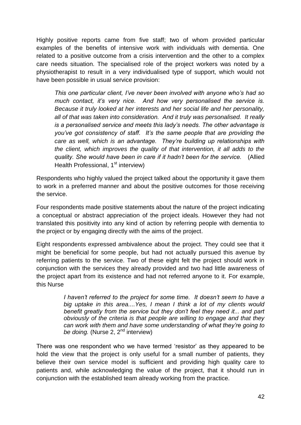Highly positive reports came from five staff; two of whom provided particular examples of the benefits of intensive work with individuals with dementia. One related to a positive outcome from a crisis intervention and the other to a complex care needs situation. The specialised role of the project workers was noted by a physiotherapist to result in a very individualised type of support, which would not have been possible in usual service provision:

*This one particular client, I've never been involved with anyone who's had so much contact, it's very nice. And how very personalised the service is. Because it truly looked at her interests and her social life and her personality, all of that was taken into consideration. And it truly was personalised. It really is a personalised service and meets this lady's needs. The other advantage is you've got consistency of staff. It's the same people that are providing the care as well, which is an advantage. They're building up relationships with the client, which improves the quality of that intervention, it all adds to the quality. She would have been in care if it hadn't been for the service.* (Allied Health Professional, 1<sup>st</sup> interview)

Respondents who highly valued the project talked about the opportunity it gave them to work in a preferred manner and about the positive outcomes for those receiving the service.

Four respondents made positive statements about the nature of the project indicating a conceptual or abstract appreciation of the project ideals. However they had not translated this positivity into any kind of action by referring people with dementia to the project or by engaging directly with the aims of the project.

Eight respondents expressed ambivalence about the project. They could see that it might be beneficial for some people, but had not actually pursued this avenue by referring patients to the service. Two of these eight felt the project should work in conjunction with the services they already provided and two had little awareness of the project apart from its existence and had not referred anyone to it. For example, this Nurse

> *I haven't referred to the project for some time. It doesn't seem to have a big uptake in this area....Yes, I mean I think a lot of my clients would benefit greatly from the service but they don't feel they need it... and part obviously of the criteria is that people are willing to engage and that they can work with them and have some understanding of what they're going to*  be doing. (Nurse 2, 2<sup>nd</sup> interview)

There was one respondent who we have termed 'resistor' as they appeared to be hold the view that the project is only useful for a small number of patients, they believe their own service model is sufficient and providing high quality care to patients and, while acknowledging the value of the project, that it should run in conjunction with the established team already working from the practice.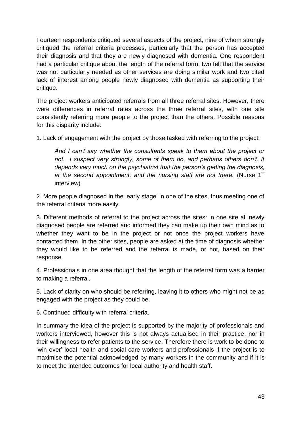Fourteen respondents critiqued several aspects of the project, nine of whom strongly critiqued the referral criteria processes, particularly that the person has accepted their diagnosis and that they are newly diagnosed with dementia. One respondent had a particular critique about the length of the referral form, two felt that the service was not particularly needed as other services are doing similar work and two cited lack of interest among people newly diagnosed with dementia as supporting their critique.

The project workers anticipated referrals from all three referral sites. However, there were differences in referral rates across the three referral sites, with one site consistently referring more people to the project than the others. Possible reasons for this disparity include:

1. Lack of engagement with the project by those tasked with referring to the project:

*And I can't say whether the consultants speak to them about the project or not. I suspect very strongly, some of them do, and perhaps others don't. It depends very much on the psychiatrist that the person's getting the diagnosis,*  at the second appointment, and the nursing staff are not there. (Nurse 1<sup>st</sup> interview)

2. More people diagnosed in the 'early stage' in one of the sites, thus meeting one of the referral criteria more easily.

3. Different methods of referral to the project across the sites: in one site all newly diagnosed people are referred and informed they can make up their own mind as to whether they want to be in the project or not once the project workers have contacted them. In the other sites, people are asked at the time of diagnosis whether they would like to be referred and the referral is made, or not, based on their response.

4. Professionals in one area thought that the length of the referral form was a barrier to making a referral.

5. Lack of clarity on who should be referring, leaving it to others who might not be as engaged with the project as they could be.

6. Continued difficulty with referral criteria.

In summary the idea of the project is supported by the majority of professionals and workers interviewed, however this is not always actualised in their practice, nor in their willingness to refer patients to the service. Therefore there is work to be done to ‗win over' local health and social care workers and professionals if the project is to maximise the potential acknowledged by many workers in the community and if it is to meet the intended outcomes for local authority and health staff.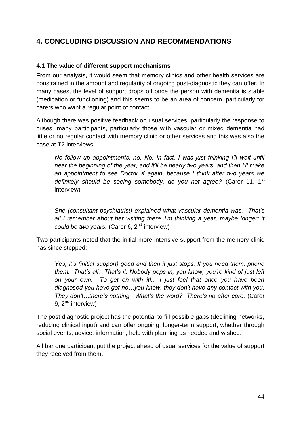# <span id="page-47-0"></span>**4. CONCLUDING DISCUSSION AND RECOMMENDATIONS**

#### <span id="page-47-1"></span>**4.1 The value of different support mechanisms**

From our analysis, it would seem that memory clinics and other health services are constrained in the amount and regularity of ongoing post-diagnostic they can offer. In many cases, the level of support drops off once the person with dementia is stable (medication or functioning) and this seems to be an area of concern, particularly for carers who want a regular point of contact.

Although there was positive feedback on usual services, particularly the response to crises, many participants, particularly those with vascular or mixed dementia had little or no regular contact with memory clinic or other services and this was also the case at T2 interviews:

*No follow up appointments, no. No. In fact, I was just thinking I'll wait until near the beginning of the year, and it'll be nearly two years, and then I'll make an appointment to see Doctor X again, because I think after two years we definitely should be seeing somebody, do you not agree?* (Carer 11, 1st interview)

*She (consultant psychiatrist) explained what vascular dementia was. That's all I remember about her visiting there..I'm thinking a year, maybe longer; it could be two years.* (Carer 6, 2nd interview)

Two participants noted that the initial more intensive support from the memory clinic has since stopped:

*Yes, it's (initial support) good and then it just stops. If you need them, phone them. That's all. That's it. Nobody pops in, you know, you're kind of just left on your own. To get on with it!... I just feel that once you have been diagnosed you have got no…you know, they don't have any contact with you. They don't…there's nothing. What's the word? There's no after care.* (Carer 9, 2<sup>nd</sup> interview)

The post diagnostic project has the potential to fill possible gaps (declining networks, reducing clinical input) and can offer ongoing, longer-term support, whether through social events, advice, information, help with planning as needed and wished.

All bar one participant put the project ahead of usual services for the value of support they received from them.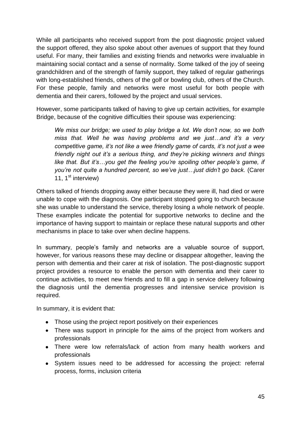While all participants who received support from the post diagnostic project valued the support offered, they also spoke about other avenues of support that they found useful. For many, their families and existing friends and networks were invaluable in maintaining social contact and a sense of normality. Some talked of the joy of seeing grandchildren and of the strength of family support, they talked of regular gatherings with long-established friends, others of the golf or bowling club, others of the Church. For these people, family and networks were most useful for both people with dementia and their carers, followed by the project and usual services.

However, some participants talked of having to give up certain activities, for example Bridge, because of the cognitive difficulties their spouse was experiencing:

*We miss our bridge; we used to play bridge a lot. We don't now, so we both miss that. Well he was having problems and we just…and it's a very competitive game, it's not like a wee friendly game of cards, it's not just a wee friendly night out it's a serious thing, and they're picking winners and things like that. But it's…you get the feeling you're spoiling other people's game, if you're not quite a hundred percent, so we've just…just didn't go back.* (Carer 11,  $1^{\text{st}}$  interview)

Others talked of friends dropping away either because they were ill, had died or were unable to cope with the diagnosis. One participant stopped going to church because she was unable to understand the service, thereby losing a whole network of people. These examples indicate the potential for supportive networks to decline and the importance of having support to maintain or replace these natural supports and other mechanisms in place to take over when decline happens.

In summary, people's family and networks are a valuable source of support, however, for various reasons these may decline or disappear altogether, leaving the person with dementia and their carer at risk of isolation. The post-diagnostic support project provides a resource to enable the person with dementia and their carer to continue activities, to meet new friends and to fill a gap in service delivery following the diagnosis until the dementia progresses and intensive service provision is required.

In summary, it is evident that:

- Those using the project report positively on their experiences
- There was support in principle for the aims of the project from workers and professionals
- There were low referrals/lack of action from many health workers and professionals
- System issues need to be addressed for accessing the project: referral process, forms, inclusion criteria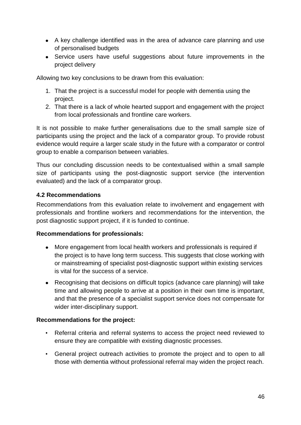- A key challenge identified was in the area of advance care planning and use of personalised budgets
- Service users have useful suggestions about future improvements in the project delivery

Allowing two key conclusions to be drawn from this evaluation:

- 1. That the project is a successful model for people with dementia using the project.
- 2. That there is a lack of whole hearted support and engagement with the project from local professionals and frontline care workers.

It is not possible to make further generalisations due to the small sample size of participants using the project and the lack of a comparator group. To provide robust evidence would require a larger scale study in the future with a comparator or control group to enable a comparison between variables.

Thus our concluding discussion needs to be contextualised within a small sample size of participants using the post-diagnostic support service (the intervention evaluated) and the lack of a comparator group.

## <span id="page-49-0"></span>**4.2 Recommendations**

Recommendations from this evaluation relate to involvement and engagement with professionals and frontline workers and recommendations for the intervention, the post diagnostic support project, if it is funded to continue.

#### **Recommendations for professionals:**

- More engagement from local health workers and professionals is required if the project is to have long term success. This suggests that close working with or mainstreaming of specialist post-diagnostic support within existing services is vital for the success of a service.
- Recognising that decisions on difficult topics (advance care planning) will take time and allowing people to arrive at a position in their own time is important, and that the presence of a specialist support service does not compensate for wider inter-disciplinary support.

#### **Recommendations for the project:**

- Referral criteria and referral systems to access the project need reviewed to ensure they are compatible with existing diagnostic processes.
- General project outreach activities to promote the project and to open to all those with dementia without professional referral may widen the project reach.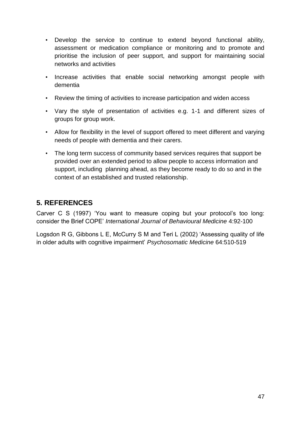- Develop the service to continue to extend beyond functional ability, assessment or medication compliance or monitoring and to promote and prioritise the inclusion of peer support, and support for maintaining social networks and activities
- Increase activities that enable social networking amongst people with dementia
- Review the timing of activities to increase participation and widen access
- Vary the style of presentation of activities e.g. 1-1 and different sizes of groups for group work.
- Allow for flexibility in the level of support offered to meet different and varying needs of people with dementia and their carers.
- The long term success of community based services requires that support be provided over an extended period to allow people to access information and support, including planning ahead, as they become ready to do so and in the context of an established and trusted relationship.

# <span id="page-50-0"></span>**5. REFERENCES**

Carver C S (1997) 'You want to measure coping but your protocol's too long: consider the Brief COPE' *International Journal of Behavioural Medicine* 4:92-100

Logsdon R G, Gibbons L E, McCurry S M and Teri L (2002) ‗Assessing quality of life in older adults with cognitive impairment' *Psychosomatic Medicine* 64:510-519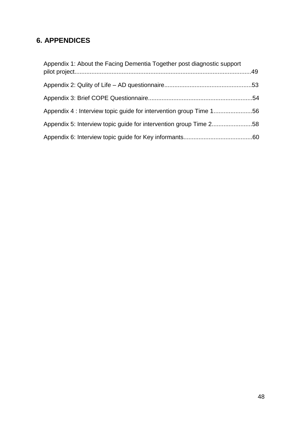# <span id="page-51-0"></span>**6. APPENDICES**

| Appendix 1: About the Facing Dementia Together post diagnostic support |  |
|------------------------------------------------------------------------|--|
|                                                                        |  |
|                                                                        |  |
| Appendix 4 : Interview topic guide for intervention group Time 156     |  |
| Appendix 5: Interview topic guide for intervention group Time 258      |  |
|                                                                        |  |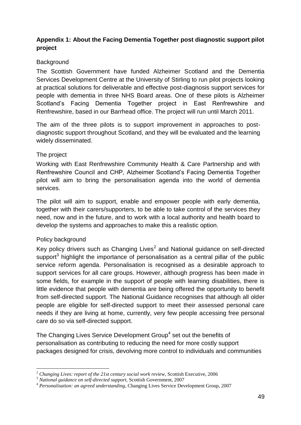## **Appendix 1: About the Facing Dementia Together post diagnostic support pilot project**

## **Background**

The Scottish Government have funded Alzheimer Scotland and the Dementia Services Development Centre at the University of Stirling to run pilot projects looking at practical solutions for deliverable and effective post-diagnosis support services for people with dementia in three NHS Board areas. One of these pilots is Alzheimer Scotland's Facing Dementia Together project in East Renfrewshire and Renfrewshire, based in our Barrhead office. The project will run until March 2011.

The aim of the three pilots is to support improvement in approaches to postdiagnostic support throughout Scotland, and they will be evaluated and the learning widely disseminated.

## The project

Working with East Renfrewshire Community Health & Care Partnership and with Renfrewshire Council and CHP, Alzheimer Scotland's Facing Dementia Together pilot will aim to bring the personalisation agenda into the world of dementia services.

The pilot will aim to support, enable and empower people with early dementia, together with their carers/supporters, to be able to take control of the services they need, now and in the future, and to work with a local authority and health board to develop the systems and approaches to make this a realistic option.

## Policy background

1

Key policy drivers such as Changing Lives<sup>2</sup> and National guidance on self-directed support<sup>3</sup> highlight the importance of personalisation as a central pillar of the public service reform agenda. Personalisation is recognised as a desirable approach to support services for all care groups. However, although progress has been made in some fields, for example in the support of people with learning disabilities, there is little evidence that people with dementia are being offered the opportunity to benefit from self-directed support. The National Guidance recognises that although all older people are eligible for self-directed support to meet their assessed personal care needs if they are living at home, currently, very few people accessing free personal care do so via self-directed support.

The Changing Lives Service Development Group<sup>4</sup> set out the benefits of personalisation as contributing to reducing the need for more costly support packages designed for crisis, devolving more control to individuals and communities

<sup>2</sup> *Changing Lives: report of the 21st century social work review*, Scottish Executive, 2006

<sup>3</sup> *National guidance on self-directed support*, Scottish Government, 2007

<sup>4</sup> *Personalisation: an agreed understanding*, Changing Lives Service Development Group, 2007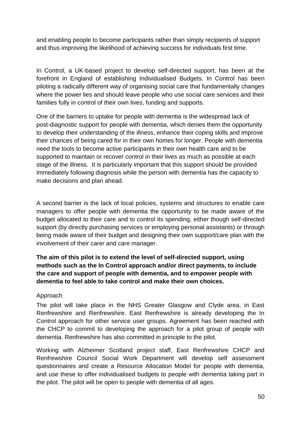and enabling people to become participants rather than simply recipients of support and thus improving the likelihood of achieving success for individuals first time.

In Control, a UK-based project to develop self-directed support, has been at the forefront in England of establishing Individualised Budgets. In Control has been piloting a radically different way of organising social care that fundamentally changes where the power lies and should leave people who use social care services and their families fully in control of their own lives, funding and supports.

One of the barriers to uptake for people with dementia is the widespread lack of post-diagnostic support for people with dementia, which denies them the opportunity to develop their understanding of the illness, enhance their coping skills and improve their chances of being cared for in their own homes for longer. People with dementia need the tools to become active participants in their own health care and to be supported to maintain or recover control in their lives as much as possible at each stage of the illness. It is particularly important that this support should be provided immediately following diagnosis while the person with dementia has the capacity to make decisions and plan ahead.

A second barrier is the lack of local policies, systems and structures to enable care managers to offer people with dementia the opportunity to be made aware of the budget allocated to their care and to control its spending, either though self-directed support (by directly purchasing services or employing personal assistants) or through being made aware of their budget and designing their own support/care plan with the involvement of their carer and care manager.

**The aim of this pilot is to extend the level of self-directed support, using methods such as the In Control approach and/or direct payments, to include the care and support of people with dementia, and to empower people with dementia to feel able to take control and make their own choices.**

## Approach

The pilot will take place in the NHS Greater Glasgow and Clyde area, in East Renfrewshire and Renfrewshire. East Renfrewshire is already developing the In Control approach for other service user groups. Agreement has been reached with the CHCP to commit to developing the approach for a pilot group of people with dementia. Renfrewshire has also committed in principle to the pilot.

Working with Alzheimer Scotland project staff, East Renfrewshire CHCP and Renfrewshire Council Social Work Department will develop self assessment questionnaires and create a Resource Allocation Model for people with dementia, and use these to offer individualised budgets to people with dementia taking part in the pilot. The pilot will be open to people with dementia of all ages.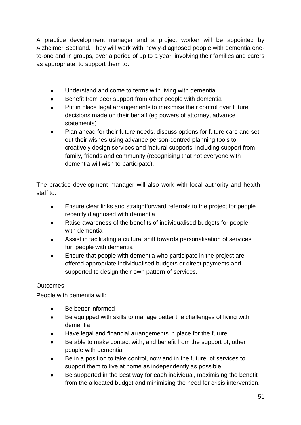A practice development manager and a project worker will be appointed by Alzheimer Scotland. They will work with newly-diagnosed people with dementia oneto-one and in groups, over a period of up to a year, involving their families and carers as appropriate, to support them to:

- Understand and come to terms with living with dementia
- Benefit from peer support from other people with dementia
- Put in place legal arrangements to maximise their control over future decisions made on their behalf (eg powers of attorney, advance statements)
- Plan ahead for their future needs, discuss options for future care and set out their wishes using advance person-centred planning tools to creatively design services and 'natural supports' including support from family, friends and community (recognising that not everyone with dementia will wish to participate).

The practice development manager will also work with local authority and health staff to:

- Ensure clear links and straightforward referrals to the project for people recently diagnosed with dementia
- Raise awareness of the benefits of individualised budgets for people with dementia
- Assist in facilitating a cultural shift towards personalisation of services for people with dementia
- Ensure that people with dementia who participate in the project are offered appropriate individualised budgets or direct payments and supported to design their own pattern of services.

## **Outcomes**

People with dementia will:

- Be better informed
- Be equipped with skills to manage better the challenges of living with dementia
- Have legal and financial arrangements in place for the future
- Be able to make contact with, and benefit from the support of, other people with dementia
- Be in a position to take control, now and in the future, of services to support them to live at home as independently as possible
- Be supported in the best way for each individual, maximising the benefit from the allocated budget and minimising the need for crisis intervention.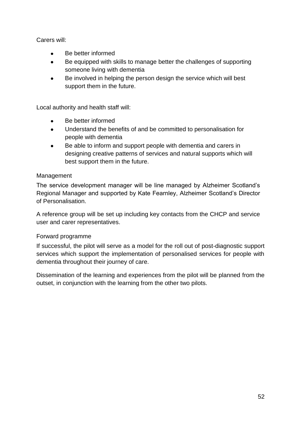Carers will:

- Be better informed
- Be equipped with skills to manage better the challenges of supporting  $\bullet$ someone living with dementia
- Be involved in helping the person design the service which will best support them in the future.

Local authority and health staff will:

- Be better informed
- $\bullet$ Understand the benefits of and be committed to personalisation for people with dementia
- Be able to inform and support people with dementia and carers in designing creative patterns of services and natural supports which will best support them in the future.

## Management

The service development manager will be line managed by Alzheimer Scotland's Regional Manager and supported by Kate Fearnley, Alzheimer Scotland's Director of Personalisation.

A reference group will be set up including key contacts from the CHCP and service user and carer representatives.

## Forward programme

If successful, the pilot will serve as a model for the roll out of post-diagnostic support services which support the implementation of personalised services for people with dementia throughout their journey of care.

Dissemination of the learning and experiences from the pilot will be planned from the outset, in conjunction with the learning from the other two pilots.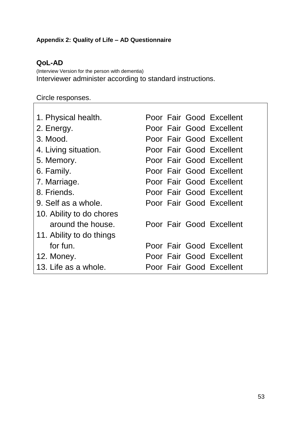# **Appendix 2: Quality of Life – AD Questionnaire**

# **QoL-AD**

 $\overline{\Gamma}$ 

(Interview Version for the person with dementia) Interviewer administer according to standard instructions.

# Circle responses.

| Poor Fair Good Excellent |
|--------------------------|
| Poor Fair Good Excellent |
| Poor Fair Good Excellent |
| Poor Fair Good Excellent |
| Poor Fair Good Excellent |
| Poor Fair Good Excellent |
| Poor Fair Good Excellent |
| Poor Fair Good Excellent |
| Poor Fair Good Excellent |
|                          |
| Poor Fair Good Excellent |
|                          |
| Poor Fair Good Excellent |
| Poor Fair Good Excellent |
| Poor Fair Good Excellent |
|                          |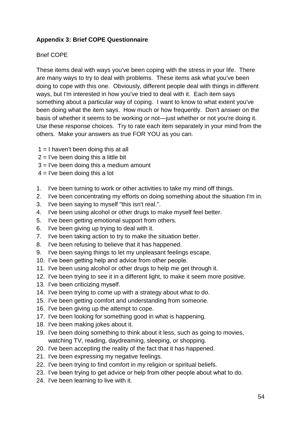## **Appendix 3: Brief COPE Questionnaire**

### Brief COPE

These items deal with ways you've been coping with the stress in your life. There are many ways to try to deal with problems. These items ask what you've been doing to cope with this one. Obviously, different people deal with things in different ways, but I'm interested in how you've tried to deal with it. Each item says something about a particular way of coping. I want to know to what extent you've been doing what the item says. How much or how frequently. Don't answer on the basis of whether it seems to be working or not—just whether or not you're doing it. Use these response choices. Try to rate each item separately in your mind from the others. Make your answers as true FOR YOU as you can.

- $1 = I$  haven't been doing this at all
- $2 =$  I've been doing this a little bit
- 3 = I've been doing this a medium amount
- $4 =$  I've been doing this a lot
- 1. I've been turning to work or other activities to take my mind off things.
- 2. I've been concentrating my efforts on doing something about the situation I'm in.
- 3. I've been saying to myself "this isn't real.".
- 4. I've been using alcohol or other drugs to make myself feel better.
- 5. I've been getting emotional support from others.
- 6. I've been giving up trying to deal with it.
- 7. I've been taking action to try to make the situation better.
- 8. I've been refusing to believe that it has happened.
- 9. I've been saying things to let my unpleasant feelings escape.
- 10. I've been getting help and advice from other people.
- 11. I've been using alcohol or other drugs to help me get through it.
- 12. I've been trying to see it in a different light, to make it seem more positive.
- 13. I've been criticizing myself.
- 14. I've been trying to come up with a strategy about what to do.
- 15. I've been getting comfort and understanding from someone.
- 16. I've been giving up the attempt to cope.
- 17. I've been looking for something good in what is happening.
- 18. I've been making jokes about it.
- 19. I've been doing something to think about it less, such as going to movies, watching TV, reading, daydreaming, sleeping, or shopping.
- 20. I've been accepting the reality of the fact that it has happened.
- 21. I've been expressing my negative feelings.
- 22. I've been trying to find comfort in my religion or spiritual beliefs.
- 23. I've been trying to get advice or help from other people about what to do.
- 24. I've been learning to live with it.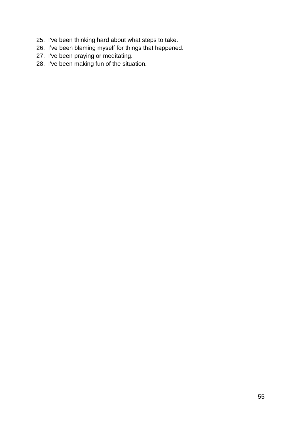- 25. I've been thinking hard about what steps to take.
- 26. I've been blaming myself for things that happened.
- 27. I've been praying or meditating.
- 28. I've been making fun of the situation.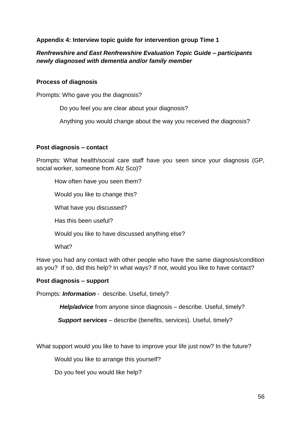## **Appendix 4: Interview topic guide for intervention group Time 1**

## *Renfrewshire and East Renfrewshire Evaluation Topic Guide – participants newly diagnosed with dementia and/or family member*

#### **Process of diagnosis**

Prompts: Who gave you the diagnosis?

Do you feel you are clear about your diagnosis?

Anything you would change about the way you received the diagnosis?

#### **Post diagnosis – contact**

Prompts: What health/social care staff have you seen since your diagnosis (GP, social worker, someone from Alz Sco)?

How often have you seen them?

Would you like to change this?

What have you discussed?

Has this been useful?

Would you like to have discussed anything else?

What?

Have you had any contact with other people who have the same diagnosis/condition as you? If so, did this help? In what ways? If not, would you like to have contact?

## **Post diagnosis – support**

Prompts: *Information* - describe. Useful, timely?

*Help/advice* from anyone since diagnosis – describe. Useful, timely?

 *Support services* – describe (benefits, services). Useful, timely?

What support would you like to have to improve your life just now? In the future?

Would you like to arrange this yourself?

Do you feel you would like help?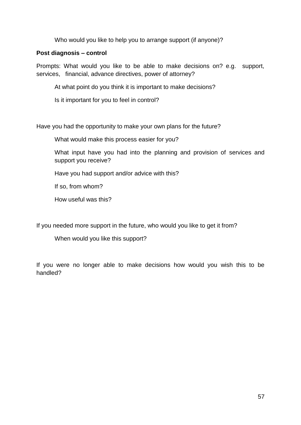Who would you like to help you to arrange support (if anyone)?

## **Post diagnosis – control**

Prompts: What would you like to be able to make decisions on? e.g. support, services, financial, advance directives, power of attorney?

At what point do you think it is important to make decisions?

Is it important for you to feel in control?

Have you had the opportunity to make your own plans for the future?

What would make this process easier for you?

What input have you had into the planning and provision of services and support you receive?

Have you had support and/or advice with this?

If so, from whom?

How useful was this?

If you needed more support in the future, who would you like to get it from?

When would you like this support?

If you were no longer able to make decisions how would you wish this to be handled?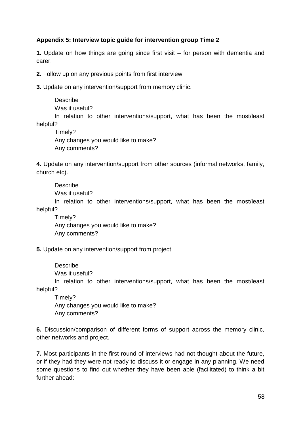## **Appendix 5: Interview topic guide for intervention group Time 2**

**1.** Update on how things are going since first visit – for person with dementia and carer.

**2.** Follow up on any previous points from first interview

**3.** Update on any intervention/support from memory clinic.

**Describe** 

Was it useful?

In relation to other interventions/support, what has been the most/least helpful?

Timely? Any changes you would like to make? Any comments?

**4.** Update on any intervention/support from other sources (informal networks, family, church etc).

Describe

Was it useful?

In relation to other interventions/support, what has been the most/least helpful?

Timely? Any changes you would like to make? Any comments?

**5.** Update on any intervention/support from project

**Describe** Was it useful?

In relation to other interventions/support, what has been the most/least helpful?

Timely? Any changes you would like to make? Any comments?

**6.** Discussion/comparison of different forms of support across the memory clinic, other networks and project.

**7.** Most participants in the first round of interviews had not thought about the future, or if they had they were not ready to discuss it or engage in any planning. We need some questions to find out whether they have been able (facilitated) to think a bit further ahead: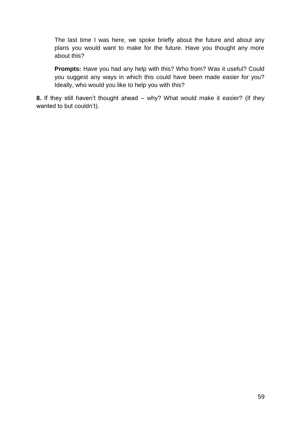The last time I was here, we spoke briefly about the future and about any plans you would want to make for the future. Have you thought any more about this?

**Prompts:** Have you had any help with this? Who from? Was it useful? Could you suggest any ways in which this could have been made easier for you? Ideally, who would you like to help you with this?

**8.** If they still haven't thought ahead – why? What would make it easier? (if they wanted to but couldn't).